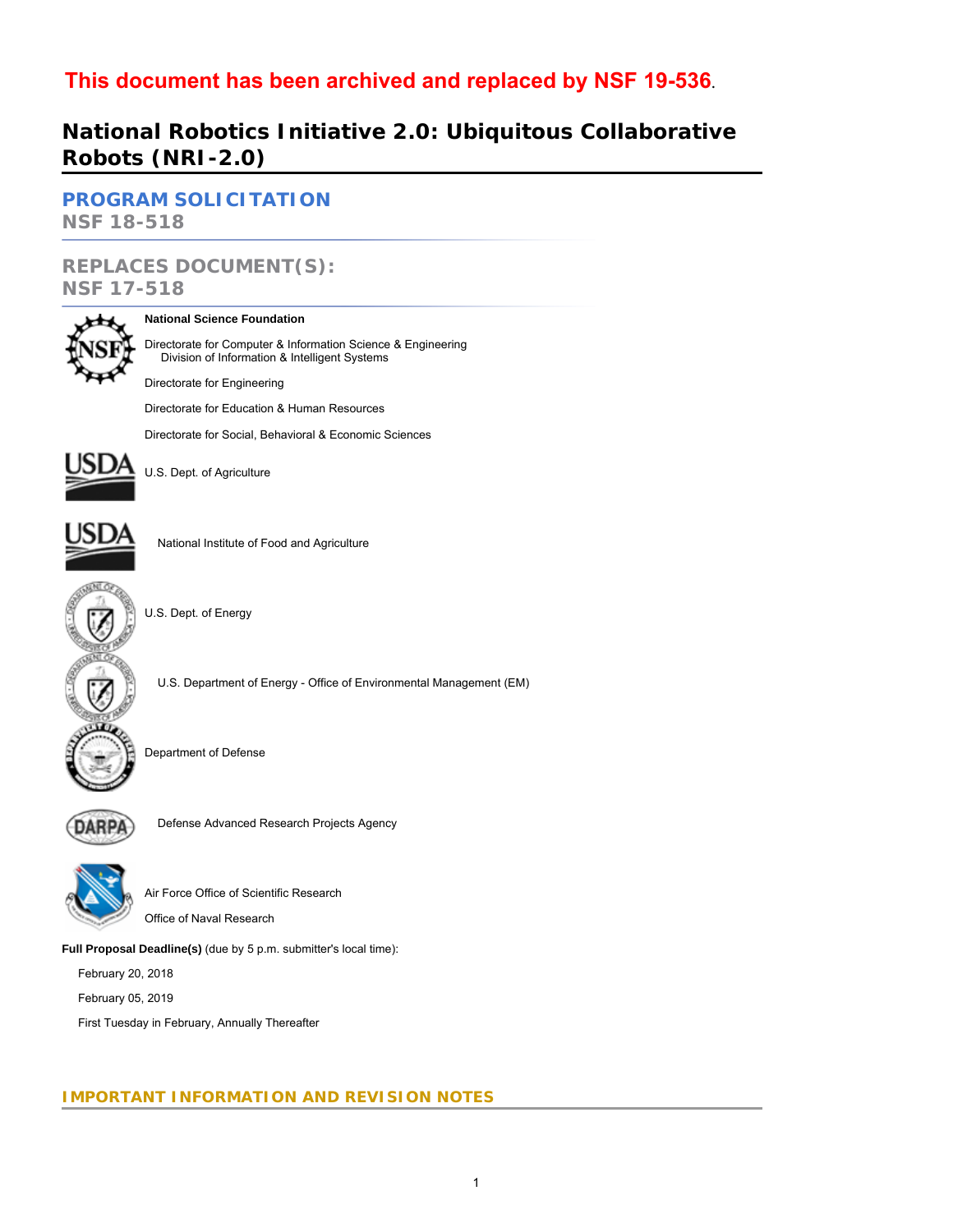# **This document has been archived and replaced by [NSF 19-536](https://www.nsf.gov/publications/pub_summ.jsp?ods_key=nsf19536)**.

# **National Robotics Initiative 2.0: Ubiquitous Collaborative Robots (NRI-2.0)**

# **[PROGRAM SOLICITATION](#page-3-0) NSF 18-518**

# **REPLACES DOCUMENT(S): NSF 17-518**



### **National Science Foundation**

Directorate for Computer & Information Science & Engineering Division of Information & Intelligent Systems

Directorate for Engineering

Directorate for Education & Human Resources

Directorate for Social, Behavioral & Economic Sciences



U.S. Dept. of Agriculture



National Institute of Food and Agriculture



U.S. Dept. of Energy

U.S. Department of Energy - Office of Environmental Management (EM)



Department of Defense



Defense Advanced Research Projects Agency



Air Force Office of Scientific Research

Office of Naval Research

**Full Proposal Deadline(s)** (due by 5 p.m. submitter's local time):

February 20, 2018

February 05, 2019

First Tuesday in February, Annually Thereafter

# **IMPORTANT INFORMATION AND REVISION NOTES**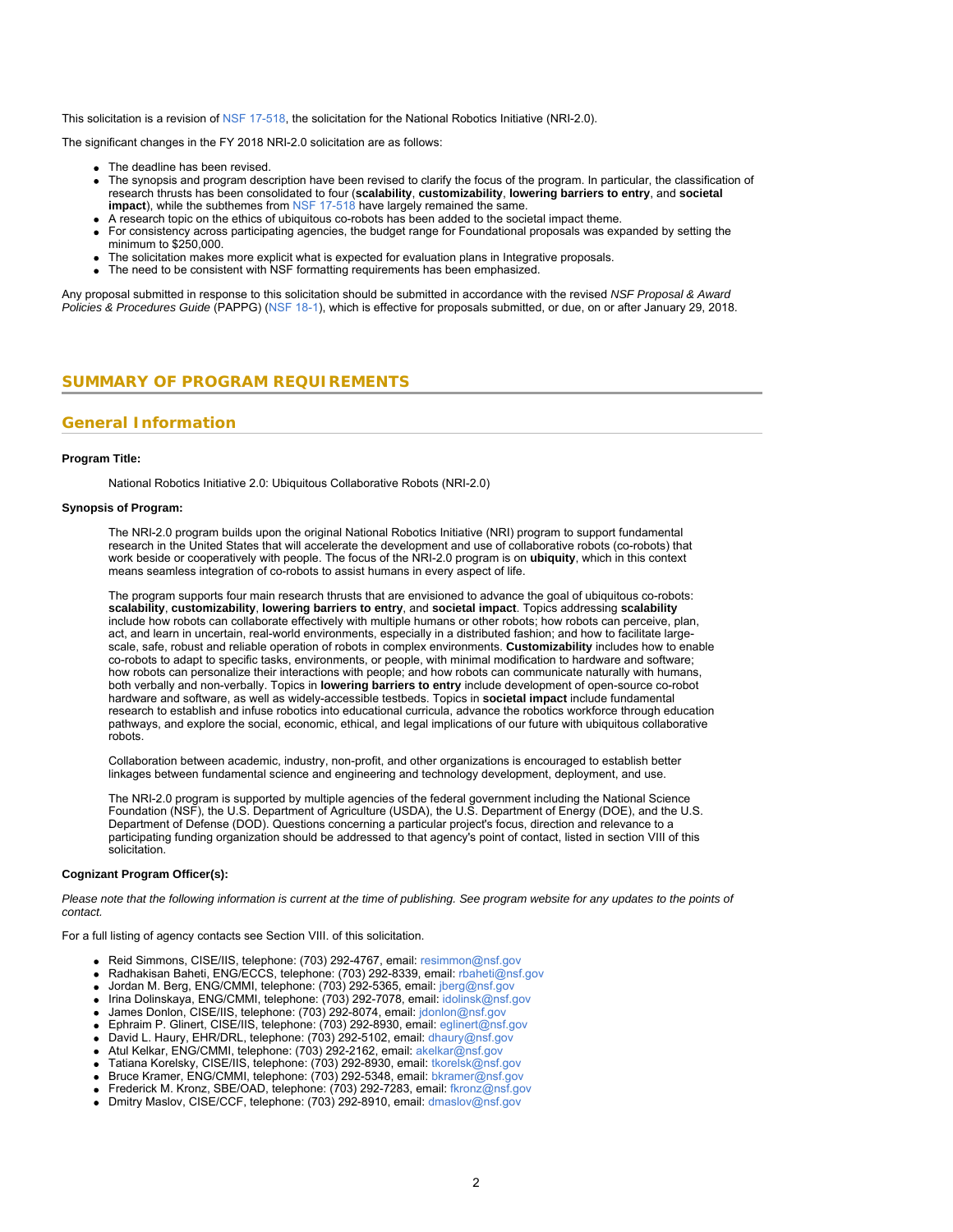This solicitation is a revision of [NSF 17-518](https://www.nsf.gov/publications/pub_summ.jsp?ods_key=nsf17518), the solicitation for the National Robotics Initiative (NRI-2.0).

The significant changes in the FY 2018 NRI-2.0 solicitation are as follows:

- The deadline has been revised.
- The synopsis and program description have been revised to clarify the focus of the program. In particular, the classification of research thrusts has been consolidated to four (**scalability**, **customizability**, **lowering barriers to entry**, and **societal impact**), while the subthemes from [NSF 17-518](https://www.nsf.gov/publications/pub_summ.jsp?ods_key=nsf17518) have largely remained the same.
- A research topic on the ethics of ubiquitous co-robots has been added to the societal impact theme.
- For consistency across participating agencies, the budget range for Foundational proposals was expanded by setting the minimum to \$250,000.
- The solicitation makes more explicit what is expected for evaluation plans in Integrative proposals.
- The need to be consistent with NSF formatting requirements has been emphasized.

Any proposal submitted in response to this solicitation should be submitted in accordance with the revised *NSF Proposal & Award Policies & Procedures Guide* (PAPPG) ([NSF 18-1\)](https://www.nsf.gov/publications/pub_summ.jsp?ods_key=nsf18001), which is effective for proposals submitted, or due, on or after January 29, 2018.

### <span id="page-1-0"></span>**SUMMARY OF PROGRAM REQUIREMENTS**

# **General Information**

#### **Program Title:**

National Robotics Initiative 2.0: Ubiquitous Collaborative Robots (NRI-2.0)

### **Synopsis of Program:**

The NRI-2.0 program builds upon the original National Robotics Initiative (NRI) program to support fundamental research in the United States that will accelerate the development and use of collaborative robots (co-robots) that work beside or cooperatively with people. The focus of the NRI-2.0 program is on **ubiquity**, which in this context means seamless integration of co-robots to assist humans in every aspect of life.

The program supports four main research thrusts that are envisioned to advance the goal of ubiquitous co-robots: **scalability**, **customizability**, **lowering barriers to entry**, and **societal impact**. Topics addressing **scalability** include how robots can collaborate effectively with multiple humans or other robots; how robots can perceive, plan, act, and learn in uncertain, real-world environments, especially in a distributed fashion; and how to facilitate largescale, safe, robust and reliable operation of robots in complex environments. **Customizability** includes how to enable co-robots to adapt to specific tasks, environments, or people, with minimal modification to hardware and software; how robots can personalize their interactions with people; and how robots can communicate naturally with humans, both verbally and non-verbally. Topics in **lowering barriers to entry** include development of open-source co-robot hardware and software, as well as widely-accessible testbeds. Topics in **societal impact** include fundamental research to establish and infuse robotics into educational curricula, advance the robotics workforce through education pathways, and explore the social, economic, ethical, and legal implications of our future with ubiquitous collaborative robots.

Collaboration between academic, industry, non-profit, and other organizations is encouraged to establish better linkages between fundamental science and engineering and technology development, deployment, and use.

The NRI-2.0 program is supported by multiple agencies of the federal government including the National Science Foundation (NSF), the U.S. Department of Agriculture (USDA), the U.S. Department of Energy (DOE), and the U.S. Department of Defense (DOD). Questions concerning a particular project's focus, direction and relevance to a participating funding organization should be addressed to that agency's point of contact, listed in section VIII of this solicitation.

### **Cognizant Program Officer(s):**

*Please note that the following information is current at the time of publishing. See program website for any updates to the points of contact.*

For a full listing of agency contacts see Section VIII. of this solicitation.

- Reid Simmons, CISE/IIS, telephone: (703) 292-4767, email: [resimmon@nsf.gov](mailto:resimmon@nsf.gov)
- Radhakisan Baheti, ENG/ECCS, telephone: (703) 292-8339, email: [rbaheti@nsf.gov](mailto:rbaheti@nsf.gov)
- Jordan M. Berg, ENG/CMMI, telephone: (703) 292-5365, email: [jberg@nsf.gov](mailto:jberg@nsf.gov)
- Irina Dolinskaya, ENG/CMMI, telephone: (703) 292-7078, email: [idolinsk@nsf.gov](mailto:idolinsk@nsf.gov)
- James Donlon, CISE/IIS, telephone: (703) 292-8074, email: [jdonlon@nsf.gov](mailto:jdonlon@nsf.gov)
- Ephraim P. Glinert, CISE/IIS, telephone: (703) 292-8930, email: [eglinert@nsf.gov](mailto:eglinert@nsf.gov)
- David L. Haury, EHR/DRL, telephone: (703) 292-5102, email: [dhaury@nsf.gov](mailto:dhaury@nsf.gov)
- Atul Kelkar, ENG/CMMI, telephone: (703) 292-2162, email: [akelkar@nsf.gov](mailto:akelkar@nsf.gov)
- Tatiana Korelsky, CISE/IIS, telephone: (703) 292-8930, email: [tkorelsk@nsf.gov](mailto:tkorelsk@nsf.gov)
- Bruce Kramer, ENG/CMMI, telephone: (703) 292-5348, email: [bkramer@nsf.gov](mailto:bkramer@nsf.gov)
- Frederick M. Kronz, SBE/OAD, telephone: (703) 292-7283, email: [fkronz@nsf.gov](mailto:fkronz@nsf.gov)
- Dmitry Maslov, CISE/CCF, telephone: (703) 292-8910, email: [dmaslov@nsf.gov](mailto:dmaslov@nsf.gov)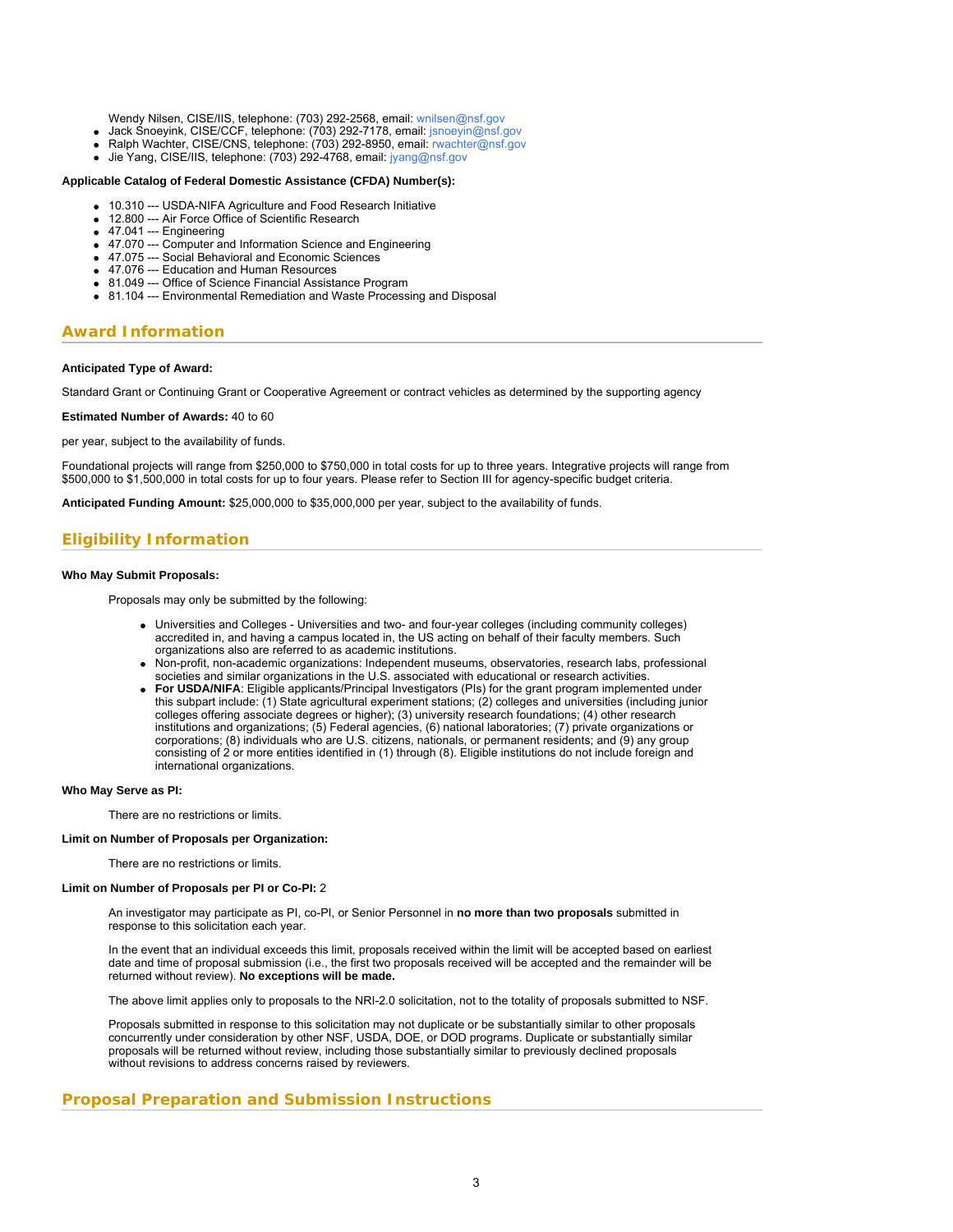Wendy Nilsen, CISE/IIS, telephone: (703) 292-2568, email: [wnilsen@nsf.gov](mailto:wnilsen@nsf.gov)

- Jack Snoeyink, CISE/CCF, telephone: (703) 292-7178, email: [jsnoeyin@nsf.gov](mailto:jsnoeyin@nsf.gov)
- Ralph Wachter, CISE/CNS, telephone: (703) 292-8950, email: [rwachter@nsf.gov](mailto:rwachter@nsf.gov)
- Jie Yang, CISE/IIS, telephone: (703) 292-4768, email: [jyang@nsf.gov](mailto:jyang@nsf.gov)

### **Applicable Catalog of Federal Domestic Assistance (CFDA) Number(s):**

- 10.310 --- USDA-NIFA Agriculture and Food Research Initiative
- 12.800 --- Air Force Office of Scientific Research
- 47.041 --- Engineering
- 47.070 --- Computer and Information Science and Engineering
- 47.075 --- Social Behavioral and Economic Sciences
- 47.076 --- Education and Human Resources
- 81.049 --- Office of Science Financial Assistance Program
- 81.104 --- Environmental Remediation and Waste Processing and Disposal

### **Award Information**

#### **Anticipated Type of Award:**

Standard Grant or Continuing Grant or Cooperative Agreement or contract vehicles as determined by the supporting agency

**Estimated Number of Awards:** 40 to 60

per year, subject to the availability of funds.

Foundational projects will range from \$250,000 to \$750,000 in total costs for up to three years. Integrative projects will range from \$500,000 to \$1,500,000 in total costs for up to four years. Please refer to Section III for agency-specific budget criteria.

**Anticipated Funding Amount:** \$25,000,000 to \$35,000,000 per year, subject to the availability of funds.

# **Eligibility Information**

### **Who May Submit Proposals:**

Proposals may only be submitted by the following:

- Universities and Colleges Universities and two- and four-year colleges (including community colleges) accredited in, and having a campus located in, the US acting on behalf of their faculty members. Such organizations also are referred to as academic institutions.
- Non-profit, non-academic organizations: Independent museums, observatories, research labs, professional societies and similar organizations in the U.S. associated with educational or research activities.
- **For USDA/NIFA**: Eligible applicants/Principal Investigators (PIs) for the grant program implemented under this subpart include: (1) State agricultural experiment stations; (2) colleges and universities (including junior colleges offering associate degrees or higher); (3) university research foundations; (4) other research institutions and organizations; (5) Federal agencies, (6) national laboratories; (7) private organizations or corporations; (8) individuals who are U.S. citizens, nationals, or permanent residents; and (9) any group consisting of 2 or more entities identified in (1) through (8). Eligible institutions do not include foreign and international organizations.

#### **Who May Serve as PI:**

There are no restrictions or limits.

#### **Limit on Number of Proposals per Organization:**

There are no restrictions or limits.

#### **Limit on Number of Proposals per PI or Co-PI:** 2

An investigator may participate as PI, co-PI, or Senior Personnel in **no more than two proposals** submitted in response to this solicitation each year.

In the event that an individual exceeds this limit, proposals received within the limit will be accepted based on earliest date and time of proposal submission (i.e., the first two proposals received will be accepted and the remainder will be returned without review). **No exceptions will be made.**

The above limit applies only to proposals to the NRI-2.0 solicitation, not to the totality of proposals submitted to NSF.

Proposals submitted in response to this solicitation may not duplicate or be substantially similar to other proposals concurrently under consideration by other NSF, USDA, DOE, or DOD programs. Duplicate or substantially similar proposals will be returned without review, including those substantially similar to previously declined proposals without revisions to address concerns raised by reviewers.

### **Proposal Preparation and Submission Instructions**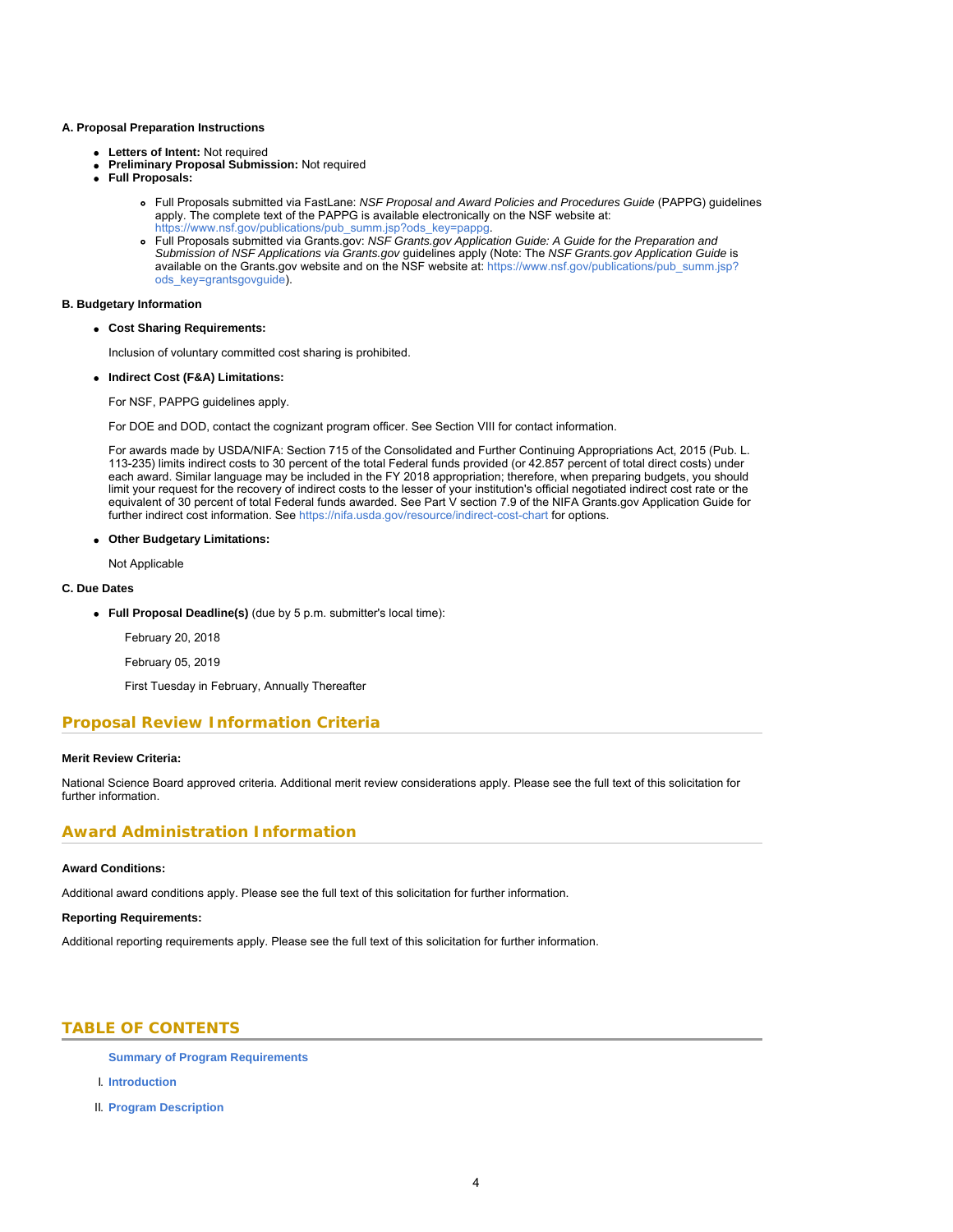#### **A. Proposal Preparation Instructions**

- **Letters of Intent:** Not required
- **Preliminary Proposal Submission:** Not required
- **Full Proposals:**
	- Full Proposals submitted via FastLane: *NSF Proposal and Award Policies and Procedures Guide* (PAPPG) guidelines apply. The complete text of the PAPPG is available electronically on the NSF website at:
	- [https://www.nsf.gov/publications/pub\\_summ.jsp?ods\\_key=pappg.](https://www.nsf.gov/publications/pub_summ.jsp?ods_key=pappg) Full Proposals submitted via Grants.gov: *NSF Grants.gov Application Guide: A Guide for the Preparation and Submission of NSF Applications via Grants.gov* guidelines apply (Note: The *NSF Grants.gov Application Guide* is available on the Grants.gov website and on the NSF website at: [https://www.nsf.gov/publications/pub\\_summ.jsp?](https://www.nsf.gov/publications/pub_summ.jsp?ods_key=grantsgovguide) [ods\\_key=grantsgovguide](https://www.nsf.gov/publications/pub_summ.jsp?ods_key=grantsgovguide)).

### **B. Budgetary Information**

**Cost Sharing Requirements:**

Inclusion of voluntary committed cost sharing is prohibited.

**Indirect Cost (F&A) Limitations:**

For NSF, PAPPG guidelines apply.

For DOE and DOD, contact the cognizant program officer. See Section VIII for contact information.

For awards made by USDA/NIFA: Section 715 of the Consolidated and Further Continuing Appropriations Act, 2015 (Pub. L. 113-235) limits indirect costs to 30 percent of the total Federal funds provided (or 42.857 percent of total direct costs) under each award. Similar language may be included in the FY 2018 appropriation; therefore, when preparing budgets, you should limit your request for the recovery of indirect costs to the lesser of your institution's official negotiated indirect cost rate or the equivalent of 30 percent of total Federal funds awarded. See Part V section 7.9 of the NIFA Grants.gov Application Guide for further indirect cost information. See<https://nifa.usda.gov/resource/indirect-cost-chart> for options.

### **Other Budgetary Limitations:**

Not Applicable

### **C. Due Dates**

- **Full Proposal Deadline(s)** (due by 5 p.m. submitter's local time):
	- February 20, 2018
	- February 05, 2019

First Tuesday in February, Annually Thereafter

# **Proposal Review Information Criteria**

### **Merit Review Criteria:**

National Science Board approved criteria. Additional merit review considerations apply. Please see the full text of this solicitation for further information.

### **Award Administration Information**

### **Award Conditions:**

Additional award conditions apply. Please see the full text of this solicitation for further information.

### **Reporting Requirements:**

<span id="page-3-0"></span>Additional reporting requirements apply. Please see the full text of this solicitation for further information.

# **TABLE OF CONTENTS**

**[Summary of Program Requirements](#page-1-0)**

- I. **[Introduction](#page-4-0)**
- II. **[Program Description](#page-5-0)**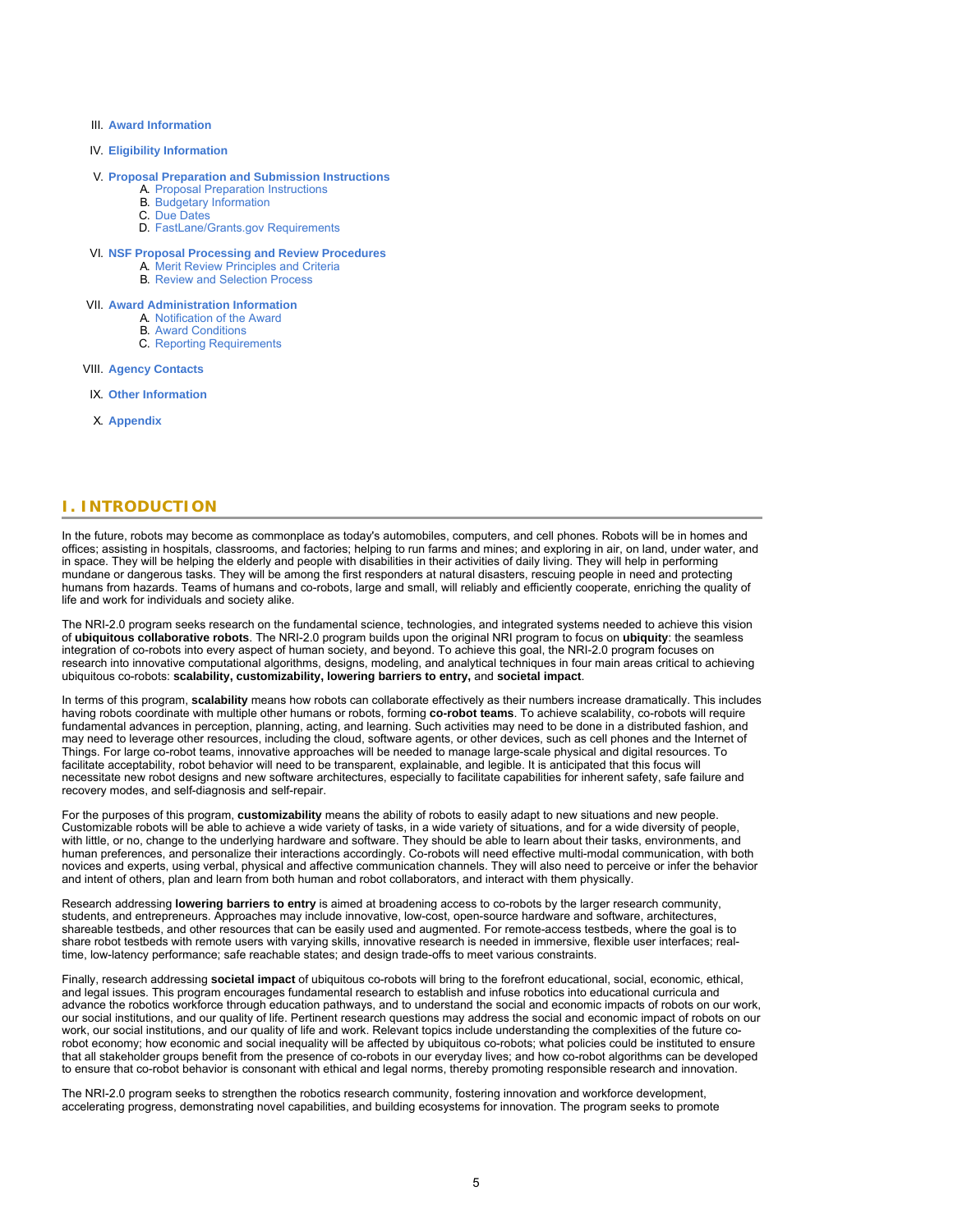- III. **[Award Information](#page-9-0)**
- IV. **[Eligibility Information](#page-9-1)**

### V. **[Proposal Preparation and Submission Instructions](#page-10-0)**

- A. [Proposal Preparation Instructions](#page-10-0) B. [Budgetary Information](#page-12-0)
- C. [Due Dates](#page-12-1)
- D. [FastLane/Grants.gov Requirements](#page-12-2)
- VI. **[NSF Proposal Processing and Review Procedures](#page-13-0)**
	- A. [Merit Review Principles and Criteria](#page-13-1)
		- **B. [Review and Selection Process](#page-15-0)**
- VII. **[Award Administration Information](#page-16-0)**
	- A. [Notification of the Award](#page-16-1)
		- B. [Award Conditions](#page-16-2)
		- C. [Reporting Requirements](#page-17-0)
- VIII. **[Agency Contacts](#page-17-1)**
- IX. **[Other Information](#page-18-0)**
- <span id="page-4-0"></span>X. **[Appendix](#page-20-0)**

### **I. INTRODUCTION**

In the future, robots may become as commonplace as today's automobiles, computers, and cell phones. Robots will be in homes and offices; assisting in hospitals, classrooms, and factories; helping to run farms and mines; and exploring in air, on land, under water, and in space. They will be helping the elderly and people with disabilities in their activities of daily living. They will help in performing mundane or dangerous tasks. They will be among the first responders at natural disasters, rescuing people in need and protecting humans from hazards. Teams of humans and co-robots, large and small, will reliably and efficiently cooperate, enriching the quality of life and work for individuals and society alike.

The NRI-2.0 program seeks research on the fundamental science, technologies, and integrated systems needed to achieve this vision of **ubiquitous collaborative robots**. The NRI-2.0 program builds upon the original NRI program to focus on **ubiquity**: the seamless integration of co-robots into every aspect of human society, and beyond. To achieve this goal, the NRI-2.0 program focuses on research into innovative computational algorithms, designs, modeling, and analytical techniques in four main areas critical to achieving ubiquitous co-robots: **scalability, customizability, lowering barriers to entry,** and **societal impact**.

In terms of this program, **scalability** means how robots can collaborate effectively as their numbers increase dramatically. This includes having robots coordinate with multiple other humans or robots, forming **co-robot teams**. To achieve scalability, co-robots will require fundamental advances in perception, planning, acting, and learning. Such activities may need to be done in a distributed fashion, and may need to leverage other resources, including the cloud, software agents, or other devices, such as cell phones and the Internet of Things. For large co-robot teams, innovative approaches will be needed to manage large-scale physical and digital resources. To facilitate acceptability, robot behavior will need to be transparent, explainable, and legible. It is anticipated that this focus will necessitate new robot designs and new software architectures, especially to facilitate capabilities for inherent safety, safe failure and recovery modes, and self-diagnosis and self-repair.

For the purposes of this program, **customizability** means the ability of robots to easily adapt to new situations and new people. Customizable robots will be able to achieve a wide variety of tasks, in a wide variety of situations, and for a wide diversity of people, with little, or no, change to the underlying hardware and software. They should be able to learn about their tasks, environments, and human preferences, and personalize their interactions accordingly. Co-robots will need effective multi-modal communication, with both novices and experts, using verbal, physical and affective communication channels. They will also need to perceive or infer the behavior and intent of others, plan and learn from both human and robot collaborators, and interact with them physically.

Research addressing **lowering barriers to entry** is aimed at broadening access to co-robots by the larger research community, students, and entrepreneurs. Approaches may include innovative, low-cost, open-source hardware and software, architectures, shareable testbeds, and other resources that can be easily used and augmented. For remote-access testbeds, where the goal is to share robot testbeds with remote users with varying skills, innovative research is needed in immersive, flexible user interfaces; realtime, low-latency performance; safe reachable states; and design trade-offs to meet various constraints.

Finally, research addressing **societal impact** of ubiquitous co-robots will bring to the forefront educational, social, economic, ethical, and legal issues. This program encourages fundamental research to establish and infuse robotics into educational curricula and advance the robotics workforce through education pathways, and to understand the social and economic impacts of robots on our work, our social institutions, and our quality of life. Pertinent research questions may address the social and economic impact of robots on our work, our social institutions, and our quality of life and work. Relevant topics include understanding the complexities of the future corobot economy; how economic and social inequality will be affected by ubiquitous co-robots; what policies could be instituted to ensure that all stakeholder groups benefit from the presence of co-robots in our everyday lives; and how co-robot algorithms can be developed to ensure that co-robot behavior is consonant with ethical and legal norms, thereby promoting responsible research and innovation.

The NRI-2.0 program seeks to strengthen the robotics research community, fostering innovation and workforce development, accelerating progress, demonstrating novel capabilities, and building ecosystems for innovation. The program seeks to promote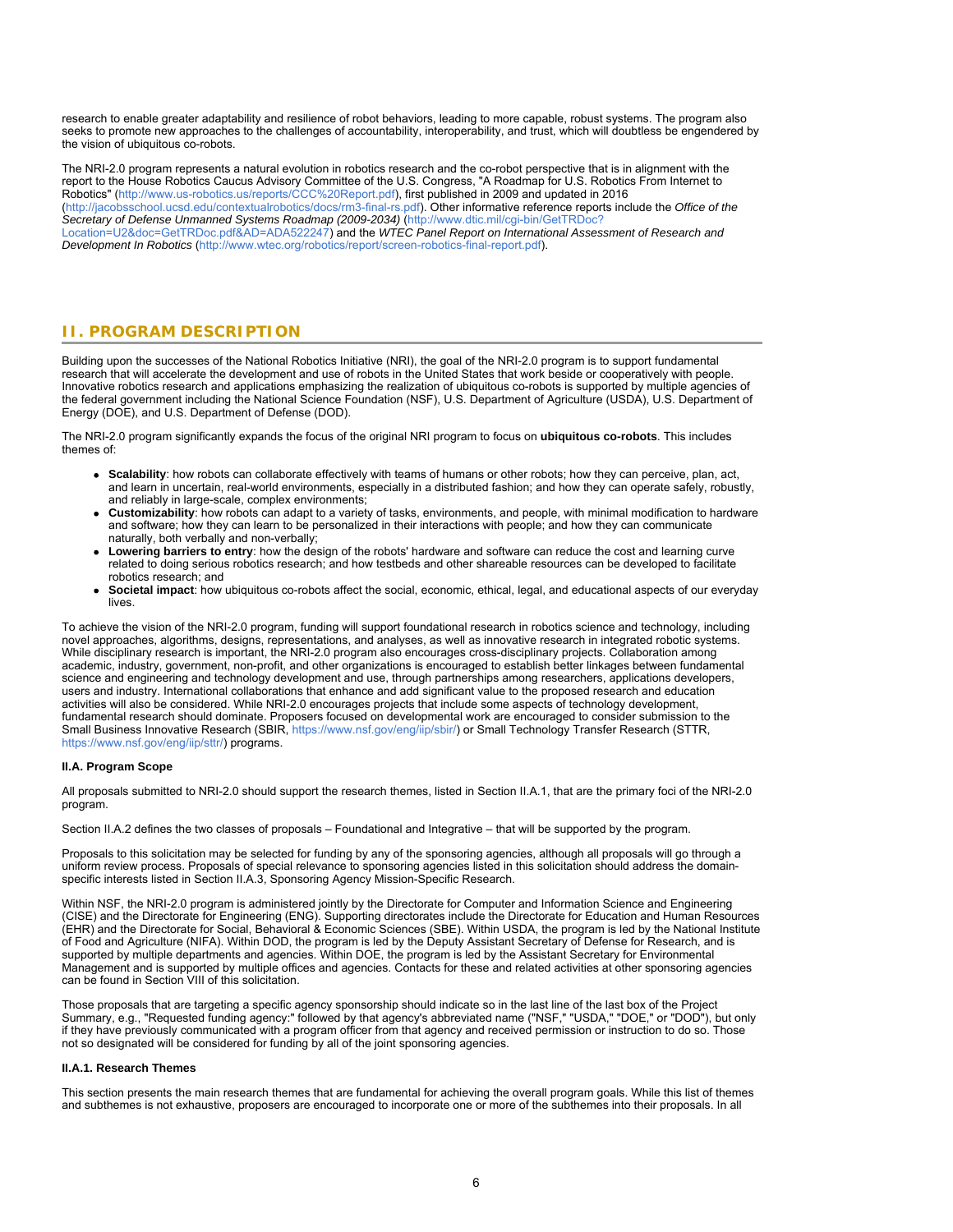research to enable greater adaptability and resilience of robot behaviors, leading to more capable, robust systems. The program also seeks to promote new approaches to the challenges of accountability, interoperability, and trust, which will doubtless be engendered by the vision of ubiquitous co-robots.

The NRI-2.0 program represents a natural evolution in robotics research and the co-robot perspective that is in alignment with the report to the House Robotics Caucus Advisory Committee of the U.S. Congress, "A Roadmap for U.S. Robotics From Internet to Robotics" [\(http://www.us-robotics.us/reports/CCC%20Report.pdf](https://www.nsf.gov/cgi-bin/goodbye?http://www.us-robotics.us/reports/CCC%20Report.pdf)), first published in 2009 and updated in 2016 [\(http://jacobsschool.ucsd.edu/contextualrobotics/docs/rm3-final-rs.pdf](https://www.nsf.gov/cgi-bin/goodbye?http://jacobsschool.ucsd.edu/contextualrobotics/docs/rm3-final-rs.pdf)). Other informative reference reports include the *Office of the Secretary of Defense Unmanned Systems Roadmap (2009-2034)* ([http://www.dtic.mil/cgi-bin/GetTRDoc?](http://www.dtic.mil/cgi-bin/GetTRDoc?Location=U2&doc=GetTRDoc.pdf&AD=ADA522247) [Location=U2&doc=GetTRDoc.pdf&AD=ADA522247\)](http://www.dtic.mil/cgi-bin/GetTRDoc?Location=U2&doc=GetTRDoc.pdf&AD=ADA522247) and the *WTEC Panel Report on International Assessment of Research and Development In Robotics* [\(http://www.wtec.org/robotics/report/screen-robotics-final-report.pdf](https://www.nsf.gov/cgi-bin/goodbye?http://www.wtec.org/robotics/report/screen-robotics-final-report.pdf)).

# <span id="page-5-0"></span>**II. PROGRAM DESCRIPTION**

Building upon the successes of the National Robotics Initiative (NRI), the goal of the NRI-2.0 program is to support fundamental research that will accelerate the development and use of robots in the United States that work beside or cooperatively with people. Innovative robotics research and applications emphasizing the realization of ubiquitous co-robots is supported by multiple agencies of the federal government including the National Science Foundation (NSF), U.S. Department of Agriculture (USDA), U.S. Department of Energy (DOE), and U.S. Department of Defense (DOD).

The NRI-2.0 program significantly expands the focus of the original NRI program to focus on **ubiquitous co-robots**. This includes themes of:

- **Scalability**: how robots can collaborate effectively with teams of humans or other robots; how they can perceive, plan, act, and learn in uncertain, real-world environments, especially in a distributed fashion; and how they can operate safely, robustly, and reliably in large-scale, complex environments;
- **Customizability**: how robots can adapt to a variety of tasks, environments, and people, with minimal modification to hardware and software; how they can learn to be personalized in their interactions with people; and how they can communicate naturally, both verbally and non-verbally;
- **Lowering barriers to entry**: how the design of the robots' hardware and software can reduce the cost and learning curve related to doing serious robotics research; and how testbeds and other shareable resources can be developed to facilitate robotics research; and
- **Societal impact**: how ubiquitous co-robots affect the social, economic, ethical, legal, and educational aspects of our everyday lives.

To achieve the vision of the NRI-2.0 program, funding will support foundational research in robotics science and technology, including novel approaches, algorithms, designs, representations, and analyses, as well as innovative research in integrated robotic systems. While disciplinary research is important, the NRI-2.0 program also encourages cross-disciplinary projects. Collaboration among academic, industry, government, non-profit, and other organizations is encouraged to establish better linkages between fundamental science and engineering and technology development and use, through partnerships among researchers, applications developers, users and industry. International collaborations that enhance and add significant value to the proposed research and education activities will also be considered. While NRI-2.0 encourages projects that include some aspects of technology development, fundamental research should dominate. Proposers focused on developmental work are encouraged to consider submission to the Small Business Innovative Research (SBIR, <https://www.nsf.gov/eng/iip/sbir/>) or Small Technology Transfer Research (STTR, [https://www.nsf.gov/eng/iip/sttr/\)](https://www.nsf.gov/eng/iip/sttr/) programs.

### **II.A. Program Scope**

All proposals submitted to NRI-2.0 should support the research themes, listed in Section II.A.1, that are the primary foci of the NRI-2.0 program.

Section II.A.2 defines the two classes of proposals – Foundational and Integrative – that will be supported by the program.

Proposals to this solicitation may be selected for funding by any of the sponsoring agencies, although all proposals will go through a uniform review process. Proposals of special relevance to sponsoring agencies listed in this solicitation should address the domainspecific interests listed in Section II.A.3, Sponsoring Agency Mission-Specific Research.

Within NSF, the NRI-2.0 program is administered jointly by the Directorate for Computer and Information Science and Engineering (CISE) and the Directorate for Engineering (ENG). Supporting directorates include the Directorate for Education and Human Resources (EHR) and the Directorate for Social, Behavioral & Economic Sciences (SBE). Within USDA, the program is led by the National Institute of Food and Agriculture (NIFA). Within DOD, the program is led by the Deputy Assistant Secretary of Defense for Research, and is supported by multiple departments and agencies. Within DOE, the program is led by the Assistant Secretary for Environmental Management and is supported by multiple offices and agencies. Contacts for these and related activities at other sponsoring agencies can be found in Section VIII of this solicitation.

Those proposals that are targeting a specific agency sponsorship should indicate so in the last line of the last box of the Project Summary, e.g., "Requested funding agency:" followed by that agency's abbreviated name ("NSF," "USDA," "DOE," or "DOD"), but only if they have previously communicated with a program officer from that agency and received permission or instruction to do so. Those not so designated will be considered for funding by all of the joint sponsoring agencies.

### **II.A.1. Research Themes**

This section presents the main research themes that are fundamental for achieving the overall program goals. While this list of themes and subthemes is not exhaustive, proposers are encouraged to incorporate one or more of the subthemes into their proposals. In all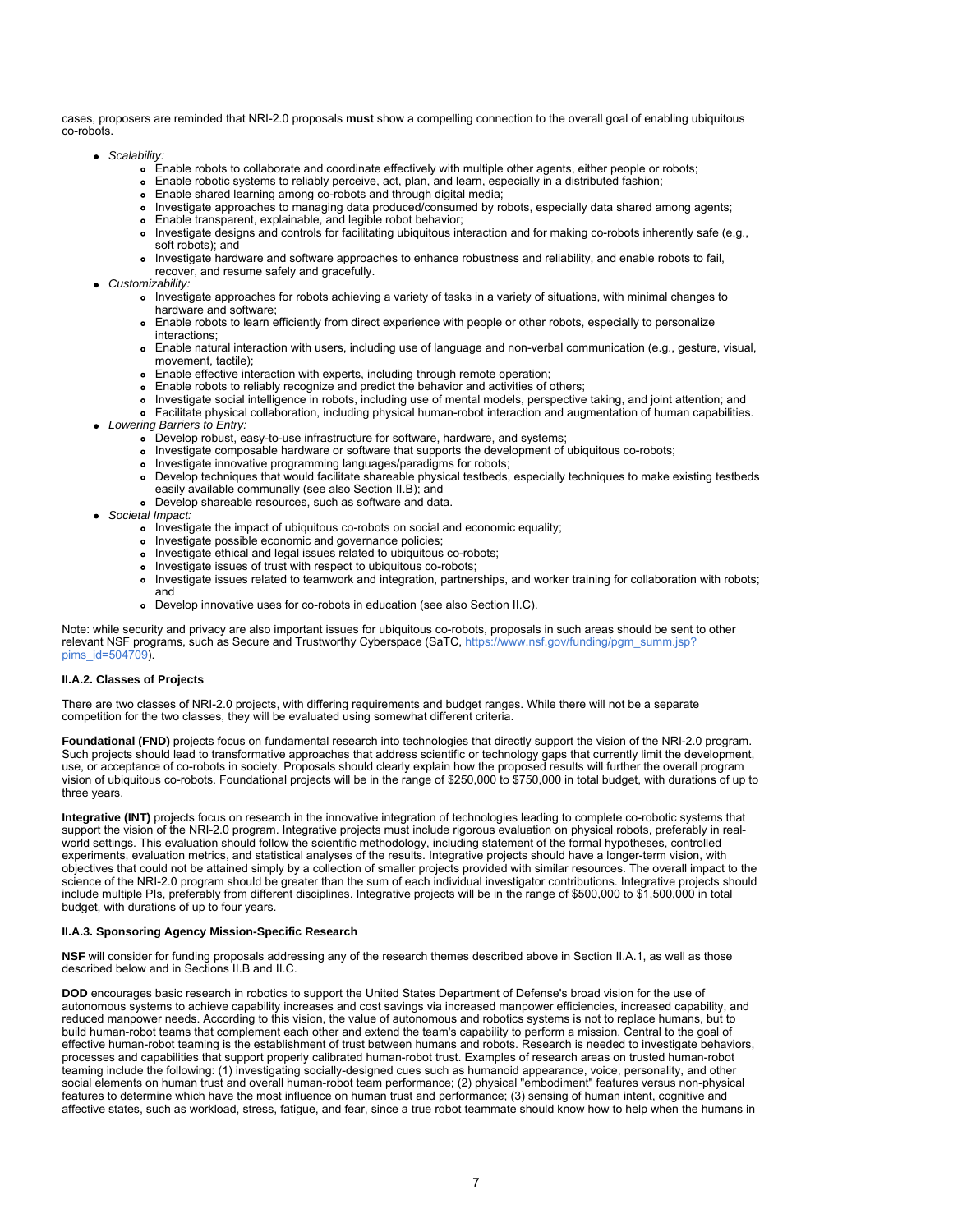cases, proposers are reminded that NRI-2.0 proposals **must** show a compelling connection to the overall goal of enabling ubiquitous co-robots.

- *Scalability:*
	- Enable robots to collaborate and coordinate effectively with multiple other agents, either people or robots;
	- Enable robotic systems to reliably perceive, act, plan, and learn, especially in a distributed fashion;
	- Enable shared learning among co-robots and through digital media;
	- Investigate approaches to managing data produced/consumed by robots, especially data shared among agents;
	- Enable transparent, explainable, and legible robot behavior;
	- Investigate designs and controls for facilitating ubiquitous interaction and for making co-robots inherently safe (e.g., soft robots); and
	- Investigate hardware and software approaches to enhance robustness and reliability, and enable robots to fail, recover, and resume safely and gracefully.
- *Customizability:*
	- Investigate approaches for robots achieving a variety of tasks in a variety of situations, with minimal changes to hardware and software;
	- Enable robots to learn efficiently from direct experience with people or other robots, especially to personalize interactions;
	- Enable natural interaction with users, including use of language and non-verbal communication (e.g., gesture, visual, movement, tactile);
	- Enable effective interaction with experts, including through remote operation;
	- Enable robots to reliably recognize and predict the behavior and activities of others;
	- Investigate social intelligence in robots, including use of mental models, perspective taking, and joint attention; and
	- Tristagate extramentation, including physical human-robot interaction and augmentation of human capabilities.
- *Lowering Barriers to Entry:*
	- Develop robust, easy-to-use infrastructure for software, hardware, and systems;
	- Investigate composable hardware or software that supports the development of ubiquitous co-robots;
	- Investigate innovative programming languages/paradigms for robots;
	- Develop techniques that would facilitate shareable physical testbeds, especially techniques to make existing testbeds easily available communally (see also Section II.B); and
	- Develop shareable resources, such as software and data.
- *Societal Impact:*
	- Investigate the impact of ubiquitous co-robots on social and economic equality;
	- o Investigate possible economic and governance policies;
	- Investigate ethical and legal issues related to ubiquitous co-robots;
	- Investigate issues of trust with respect to ubiquitous co-robots;
	- Investigate issues related to teamwork and integration, partnerships, and worker training for collaboration with robots; and
	- Develop innovative uses for co-robots in education (see also Section II.C).

Note: while security and privacy are also important issues for ubiquitous co-robots, proposals in such areas should be sent to other relevant NSF programs, such as Secure and Trustworthy Cyberspace (SaTC, [https://www.nsf.gov/funding/pgm\\_summ.jsp?](https://www.nsf.gov/funding/pgm_summ.jsp?pims_id=504709) [pims\\_id=504709](https://www.nsf.gov/funding/pgm_summ.jsp?pims_id=504709)).

### **II.A.2. Classes of Projects**

There are two classes of NRI-2.0 projects, with differing requirements and budget ranges. While there will not be a separate competition for the two classes, they will be evaluated using somewhat different criteria.

Foundational (FND) projects focus on fundamental research into technologies that directly support the vision of the NRI-2.0 program. Such projects should lead to transformative approaches that address scientific or technology gaps that currently limit the development, use, or acceptance of co-robots in society. Proposals should clearly explain how the proposed results will further the overall program vision of ubiquitous co-robots. Foundational projects will be in the range of \$250,000 to \$750,000 in total budget, with durations of up to three years.

**Integrative (INT)** projects focus on research in the innovative integration of technologies leading to complete co-robotic systems that support the vision of the NRI-2.0 program. Integrative projects must include rigorous evaluation on physical robots, preferably in realworld settings. This evaluation should follow the scientific methodology, including statement of the formal hypotheses, controlled experiments, evaluation metrics, and statistical analyses of the results. Integrative projects should have a longer-term vision, with objectives that could not be attained simply by a collection of smaller projects provided with similar resources. The overall impact to the science of the NRI-2.0 program should be greater than the sum of each individual investigator contributions. Integrative projects should include multiple PIs, preferably from different disciplines. Integrative projects will be in the range of \$500,000 to \$1,500,000 in total budget, with durations of up to four years.

### **II.A.3. Sponsoring Agency Mission-Specific Research**

**NSF** will consider for funding proposals addressing any of the research themes described above in Section II.A.1, as well as those described below and in Sections II.B and II.C.

**DOD** encourages basic research in robotics to support the United States Department of Defense's broad vision for the use of autonomous systems to achieve capability increases and cost savings via increased manpower efficiencies, increased capability, and reduced manpower needs. According to this vision, the value of autonomous and robotics systems is not to replace humans, but to build human-robot teams that complement each other and extend the team's capability to perform a mission. Central to the goal of effective human-robot teaming is the establishment of trust between humans and robots. Research is needed to investigate behaviors, processes and capabilities that support properly calibrated human-robot trust. Examples of research areas on trusted human-robot teaming include the following: (1) investigating socially-designed cues such as humanoid appearance, voice, personality, and other social elements on human trust and overall human-robot team performance; (2) physical "embodiment" features versus non-physical features to determine which have the most influence on human trust and performance; (3) sensing of human intent, cognitive and affective states, such as workload, stress, fatigue, and fear, since a true robot teammate should know how to help when the humans in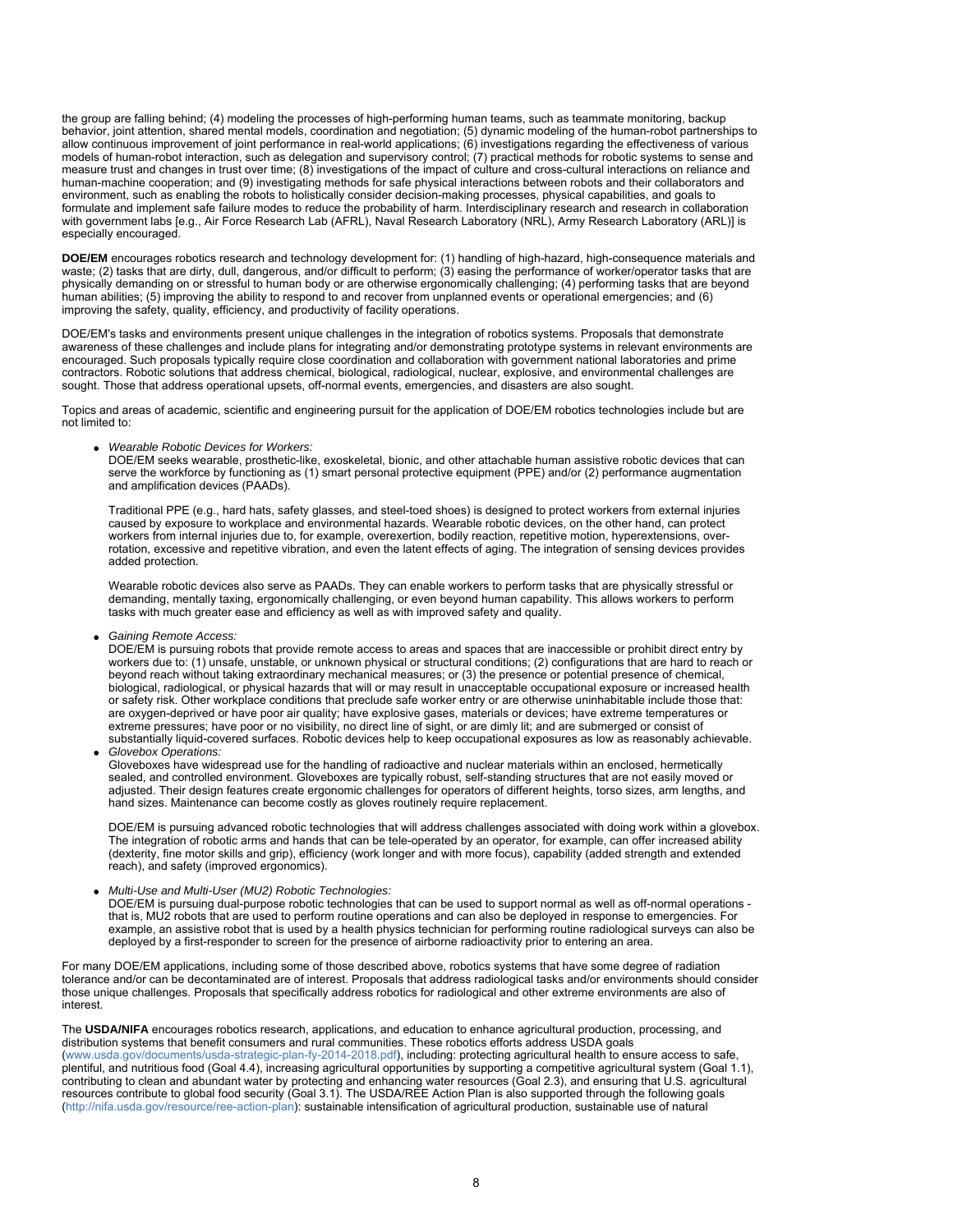the group are falling behind; (4) modeling the processes of high-performing human teams, such as teammate monitoring, backup behavior, joint attention, shared mental models, coordination and negotiation; (5) dynamic modeling of the human-robot partnerships to allow continuous improvement of joint performance in real-world applications; (6) investigations regarding the effectiveness of various models of human-robot interaction, such as delegation and supervisory control; (7) practical methods for robotic systems to sense and measure trust and changes in trust over time; (8) investigations of the impact of culture and cross-cultural interactions on reliance and human-machine cooperation; and (9) investigating methods for safe physical interactions between robots and their collaborators and environment, such as enabling the robots to holistically consider decision-making processes, physical capabilities, and goals to formulate and implement safe failure modes to reduce the probability of harm. Interdisciplinary research and research in collaboration with government labs [e.g., Air Force Research Lab (AFRL), Naval Research Laboratory (NRL), Army Research Laboratory (ARL)] is especially encouraged.

**DOE/EM** encourages robotics research and technology development for: (1) handling of high-hazard, high-consequence materials and waste; (2) tasks that are dirty, dull, dangerous, and/or difficult to perform; (3) easing the performance of worker/operator tasks that are physically demanding on or stressful to human body or are otherwise ergonomically challenging; (4) performing tasks that are beyond human abilities; (5) improving the ability to respond to and recover from unplanned events or operational emergencies; and (6) improving the safety, quality, efficiency, and productivity of facility operations.

DOE/EM's tasks and environments present unique challenges in the integration of robotics systems. Proposals that demonstrate awareness of these challenges and include plans for integrating and/or demonstrating prototype systems in relevant environments are encouraged. Such proposals typically require close coordination and collaboration with government national laboratories and prime contractors. Robotic solutions that address chemical, biological, radiological, nuclear, explosive, and environmental challenges are sought. Those that address operational upsets, off-normal events, emergencies, and disasters are also sought.

Topics and areas of academic, scientific and engineering pursuit for the application of DOE/EM robotics technologies include but are not limited to:

*Wearable Robotic Devices for Workers:*

DOE/EM seeks wearable, prosthetic-like, exoskeletal, bionic, and other attachable human assistive robotic devices that can serve the workforce by functioning as (1) smart personal protective equipment (PPE) and/or (2) performance augmentation and amplification devices (PAADs).

Traditional PPE (e.g., hard hats, safety glasses, and steel-toed shoes) is designed to protect workers from external injuries caused by exposure to workplace and environmental hazards. Wearable robotic devices, on the other hand, can protect workers from internal injuries due to, for example, overexertion, bodily reaction, repetitive motion, hyperextensions, overrotation, excessive and repetitive vibration, and even the latent effects of aging. The integration of sensing devices provides added protection.

Wearable robotic devices also serve as PAADs. They can enable workers to perform tasks that are physically stressful or demanding, mentally taxing, ergonomically challenging, or even beyond human capability. This allows workers to perform tasks with much greater ease and efficiency as well as with improved safety and quality.

*Gaining Remote Access:*

DOE/EM is pursuing robots that provide remote access to areas and spaces that are inaccessible or prohibit direct entry by workers due to: (1) unsafe, unstable, or unknown physical or structural conditions; (2) configurations that are hard to reach or beyond reach without taking extraordinary mechanical measures; or (3) the presence or potential presence of chemical, biological, radiological, or physical hazards that will or may result in unacceptable occupational exposure or increased health or safety risk. Other workplace conditions that preclude safe worker entry or are otherwise uninhabitable include those that: are oxygen-deprived or have poor air quality; have explosive gases, materials or devices; have extreme temperatures or extreme pressures; have poor or no visibility, no direct line of sight, or are dimly lit; and are submerged or consist of substantially liquid-covered surfaces. Robotic devices help to keep occupational exposures as low as reasonably achievable. *Glovebox Operations:*

Gloveboxes have widespread use for the handling of radioactive and nuclear materials within an enclosed, hermetically sealed, and controlled environment. Gloveboxes are typically robust, self-standing structures that are not easily moved or adjusted. Their design features create ergonomic challenges for operators of different heights, torso sizes, arm lengths, and hand sizes. Maintenance can become costly as gloves routinely require replacement.

DOE/EM is pursuing advanced robotic technologies that will address challenges associated with doing work within a glovebox. The integration of robotic arms and hands that can be tele-operated by an operator, for example, can offer increased ability (dexterity, fine motor skills and grip), efficiency (work longer and with more focus), capability (added strength and extended reach), and safety (improved ergonomics).

*Multi-Use and Multi-User (MU2) Robotic Technologies:*

DOE/EM is pursuing dual-purpose robotic technologies that can be used to support normal as well as off-normal operations that is, MU2 robots that are used to perform routine operations and can also be deployed in response to emergencies. For example, an assistive robot that is used by a health physics technician for performing routine radiological surveys can also be deployed by a first-responder to screen for the presence of airborne radioactivity prior to entering an area.

For many DOE/EM applications, including some of those described above, robotics systems that have some degree of radiation tolerance and/or can be decontaminated are of interest. Proposals that address radiological tasks and/or environments should consider those unique challenges. Proposals that specifically address robotics for radiological and other extreme environments are also of interest.

The **USDA/NIFA** encourages robotics research, applications, and education to enhance agricultural production, processing, and distribution systems that benefit consumers and rural communities. These robotics efforts address USDA goals [\(www.usda.gov/documents/usda-strategic-plan-fy-2014-2018.pdf](http://www.usda.gov/documents/usda-strategic-plan-fy-2014-2018.pdf)), including: protecting agricultural health to ensure access to safe, plentiful, and nutritious food (Goal 4.4), increasing agricultural opportunities by supporting a competitive agricultural system (Goal 1.1), contributing to clean and abundant water by protecting and enhancing water resources (Goal 2.3), and ensuring that U.S. agricultural resources contribute to global food security (Goal 3.1). The USDA/REE Action Plan is also supported through the following goals [\(http://nifa.usda.gov/resource/ree-action-plan](http://nifa.usda.gov/resource/ree-action-plan)): sustainable intensification of agricultural production, sustainable use of natural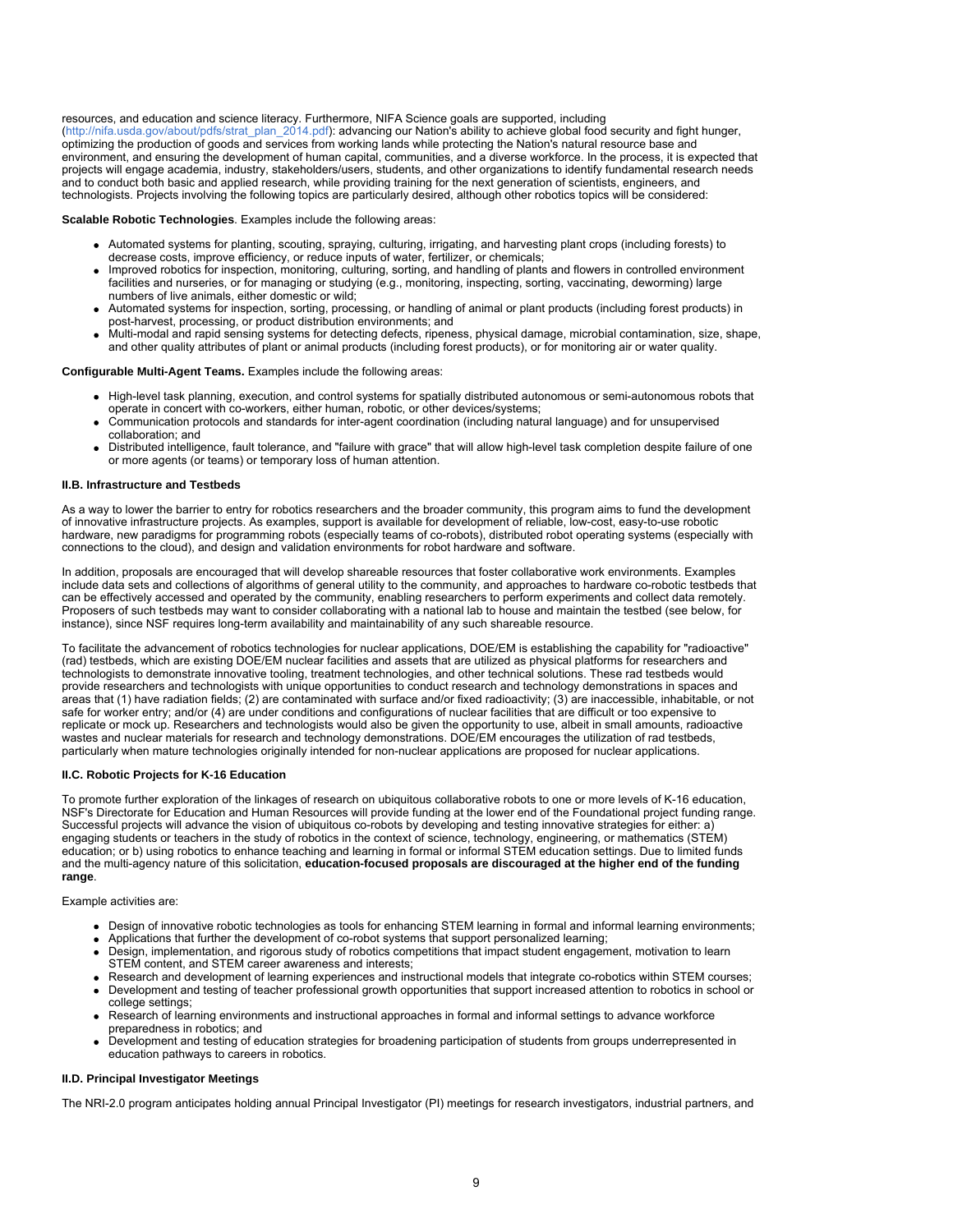resources, and education and science literacy. Furthermore, NIFA Science goals are supported, including [\(http://nifa.usda.gov/about/pdfs/strat\\_plan\\_2014.pdf](http://nifa.usda.gov/about/pdfs/strat_plan_2014.pdf)): advancing our Nation's ability to achieve global food security and fight hunger, optimizing the production of goods and services from working lands while protecting the Nation's natural resource base and environment, and ensuring the development of human capital, communities, and a diverse workforce. In the process, it is expected that projects will engage academia, industry, stakeholders/users, students, and other organizations to identify fundamental research needs and to conduct both basic and applied research, while providing training for the next generation of scientists, engineers, and technologists. Projects involving the following topics are particularly desired, although other robotics topics will be considered:

**Scalable Robotic Technologies**. Examples include the following areas:

- Automated systems for planting, scouting, spraying, culturing, irrigating, and harvesting plant crops (including forests) to decrease costs, improve efficiency, or reduce inputs of water, fertilizer, or chemicals;
- Improved robotics for inspection, monitoring, culturing, sorting, and handling of plants and flowers in controlled environment facilities and nurseries, or for managing or studying (e.g., monitoring, inspecting, sorting, vaccinating, deworming) large numbers of live animals, either domestic or wild;
- Automated systems for inspection, sorting, processing, or handling of animal or plant products (including forest products) in post-harvest, processing, or product distribution environments; and
- Multi-modal and rapid sensing systems for detecting defects, ripeness, physical damage, microbial contamination, size, shape, and other quality attributes of plant or animal products (including forest products), or for monitoring air or water quality.

### **Configurable Multi-Agent Teams.** Examples include the following areas:

- High-level task planning, execution, and control systems for spatially distributed autonomous or semi-autonomous robots that operate in concert with co-workers, either human, robotic, or other devices/systems;
- Communication protocols and standards for inter-agent coordination (including natural language) and for unsupervised collaboration; and
- Distributed intelligence, fault tolerance, and "failure with grace" that will allow high-level task completion despite failure of one or more agents (or teams) or temporary loss of human attention.

### **II.B. Infrastructure and Testbeds**

As a way to lower the barrier to entry for robotics researchers and the broader community, this program aims to fund the development of innovative infrastructure projects. As examples, support is available for development of reliable, low-cost, easy-to-use robotic hardware, new paradigms for programming robots (especially teams of co-robots), distributed robot operating systems (especially with connections to the cloud), and design and validation environments for robot hardware and software.

In addition, proposals are encouraged that will develop shareable resources that foster collaborative work environments. Examples include data sets and collections of algorithms of general utility to the community, and approaches to hardware co-robotic testbeds that can be effectively accessed and operated by the community, enabling researchers to perform experiments and collect data remotely. Proposers of such testbeds may want to consider collaborating with a national lab to house and maintain the testbed (see below, for instance), since NSF requires long-term availability and maintainability of any such shareable resource.

To facilitate the advancement of robotics technologies for nuclear applications, DOE/EM is establishing the capability for "radioactive" (rad) testbeds, which are existing DOE/EM nuclear facilities and assets that are utilized as physical platforms for researchers and technologists to demonstrate innovative tooling, treatment technologies, and other technical solutions. These rad testbeds would provide researchers and technologists with unique opportunities to conduct research and technology demonstrations in spaces and areas that (1) have radiation fields; (2) are contaminated with surface and/or fixed radioactivity; (3) are inaccessible, inhabitable, or not safe for worker entry; and/or (4) are under conditions and configurations of nuclear facilities that are difficult or too expensive to replicate or mock up. Researchers and technologists would also be given the opportunity to use, albeit in small amounts, radioactive wastes and nuclear materials for research and technology demonstrations. DOE/EM encourages the utilization of rad testbeds, particularly when mature technologies originally intended for non-nuclear applications are proposed for nuclear applications.

#### **II.C. Robotic Projects for K-16 Education**

To promote further exploration of the linkages of research on ubiquitous collaborative robots to one or more levels of K-16 education, NSF's Directorate for Education and Human Resources will provide funding at the lower end of the Foundational project funding range. Successful projects will advance the vision of ubiquitous co-robots by developing and testing innovative strategies for either: a) engaging students or teachers in the study of robotics in the context of science, technology, engineering, or mathematics (STEM) education; or b) using robotics to enhance teaching and learning in formal or informal STEM education settings. Due to limited funds and the multi-agency nature of this solicitation, **education-focused proposals are discouraged at the higher end of the funding range**.

### Example activities are:

- Design of innovative robotic technologies as tools for enhancing STEM learning in formal and informal learning environments;
- Applications that further the development of co-robot systems that support personalized learning;
- Design, implementation, and rigorous study of robotics competitions that impact student engagement, motivation to learn STEM content, and STEM career awareness and interests;
- Research and development of learning experiences and instructional models that integrate co-robotics within STEM courses;
- Development and testing of teacher professional growth opportunities that support increased attention to robotics in school or college settings;
- Research of learning environments and instructional approaches in formal and informal settings to advance workforce preparedness in robotics; and
- Development and testing of education strategies for broadening participation of students from groups underrepresented in education pathways to careers in robotics.

### **II.D. Principal Investigator Meetings**

The NRI-2.0 program anticipates holding annual Principal Investigator (PI) meetings for research investigators, industrial partners, and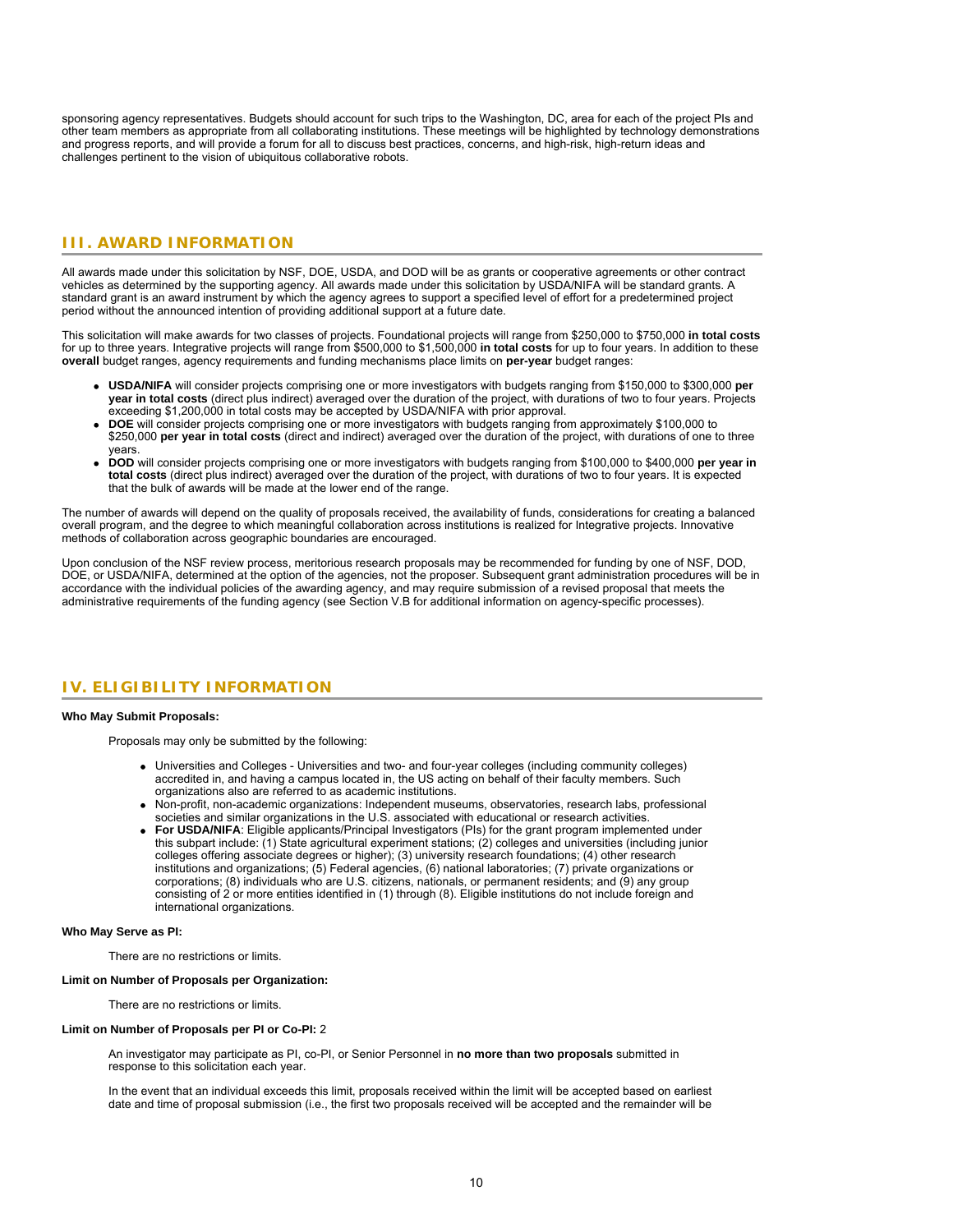<span id="page-9-0"></span>sponsoring agency representatives. Budgets should account for such trips to the Washington, DC, area for each of the project PIs and other team members as appropriate from all collaborating institutions. These meetings will be highlighted by technology demonstrations and progress reports, and will provide a forum for all to discuss best practices, concerns, and high-risk, high-return ideas and challenges pertinent to the vision of ubiquitous collaborative robots.

# **III. AWARD INFORMATION**

All awards made under this solicitation by NSF, DOE, USDA, and DOD will be as grants or cooperative agreements or other contract vehicles as determined by the supporting agency. All awards made under this solicitation by USDA/NIFA will be standard grants. A standard grant is an award instrument by which the agency agrees to support a specified level of effort for a predetermined project period without the announced intention of providing additional support at a future date.

This solicitation will make awards for two classes of projects. Foundational projects will range from \$250,000 to \$750,000 **in total costs** for up to three years. Integrative projects will range from \$500,000 to \$1,500,000 **in total costs** for up to four years. In addition to these **overall** budget ranges, agency requirements and funding mechanisms place limits on **per-year** budget ranges:

- **USDA/NIFA** will consider projects comprising one or more investigators with budgets ranging from \$150,000 to \$300,000 **per year in total costs** (direct plus indirect) averaged over the duration of the project, with durations of two to four years. Projects exceeding \$1,200,000 in total costs may be accepted by USDA/NIFA with prior approval.
- **DOE** will consider projects comprising one or more investigators with budgets ranging from approximately \$100,000 to \$250,000 **per year in total costs** (direct and indirect) averaged over the duration of the project, with durations of one to three years.
- **DOD** will consider projects comprising one or more investigators with budgets ranging from \$100,000 to \$400,000 **per year in total costs** (direct plus indirect) averaged over the duration of the project, with durations of two to four years. It is expected that the bulk of awards will be made at the lower end of the range.

The number of awards will depend on the quality of proposals received, the availability of funds, considerations for creating a balanced overall program, and the degree to which meaningful collaboration across institutions is realized for Integrative projects. Innovative methods of collaboration across geographic boundaries are encouraged.

<span id="page-9-1"></span>Upon conclusion of the NSF review process, meritorious research proposals may be recommended for funding by one of NSF, DOD, DOE, or USDA/NIFA, determined at the option of the agencies, not the proposer. Subsequent grant administration procedures will be in accordance with the individual policies of the awarding agency, and may require submission of a revised proposal that meets the administrative requirements of the funding agency (see Section V.B for additional information on agency-specific processes).

# **IV. ELIGIBILITY INFORMATION**

### **Who May Submit Proposals:**

Proposals may only be submitted by the following:

- Universities and Colleges Universities and two- and four-year colleges (including community colleges) accredited in, and having a campus located in, the US acting on behalf of their faculty members. Such organizations also are referred to as academic institutions.
- Non-profit, non-academic organizations: Independent museums, observatories, research labs, professional societies and similar organizations in the U.S. associated with educational or research activities.
- **For USDA/NIFA**: Eligible applicants/Principal Investigators (PIs) for the grant program implemented under this subpart include: (1) State agricultural experiment stations; (2) colleges and universities (including junior colleges offering associate degrees or higher); (3) university research foundations; (4) other research institutions and organizations; (5) Federal agencies, (6) national laboratories; (7) private organizations or corporations; (8) individuals who are U.S. citizens, nationals, or permanent residents; and (9) any group consisting of 2 or more entities identified in (1) through (8). Eligible institutions do not include foreign and international organizations.

### **Who May Serve as PI:**

There are no restrictions or limits.

#### **Limit on Number of Proposals per Organization:**

There are no restrictions or limits.

#### **Limit on Number of Proposals per PI or Co-PI:** 2

An investigator may participate as PI, co-PI, or Senior Personnel in **no more than two proposals** submitted in response to this solicitation each year.

In the event that an individual exceeds this limit, proposals received within the limit will be accepted based on earliest date and time of proposal submission (i.e., the first two proposals received will be accepted and the remainder will be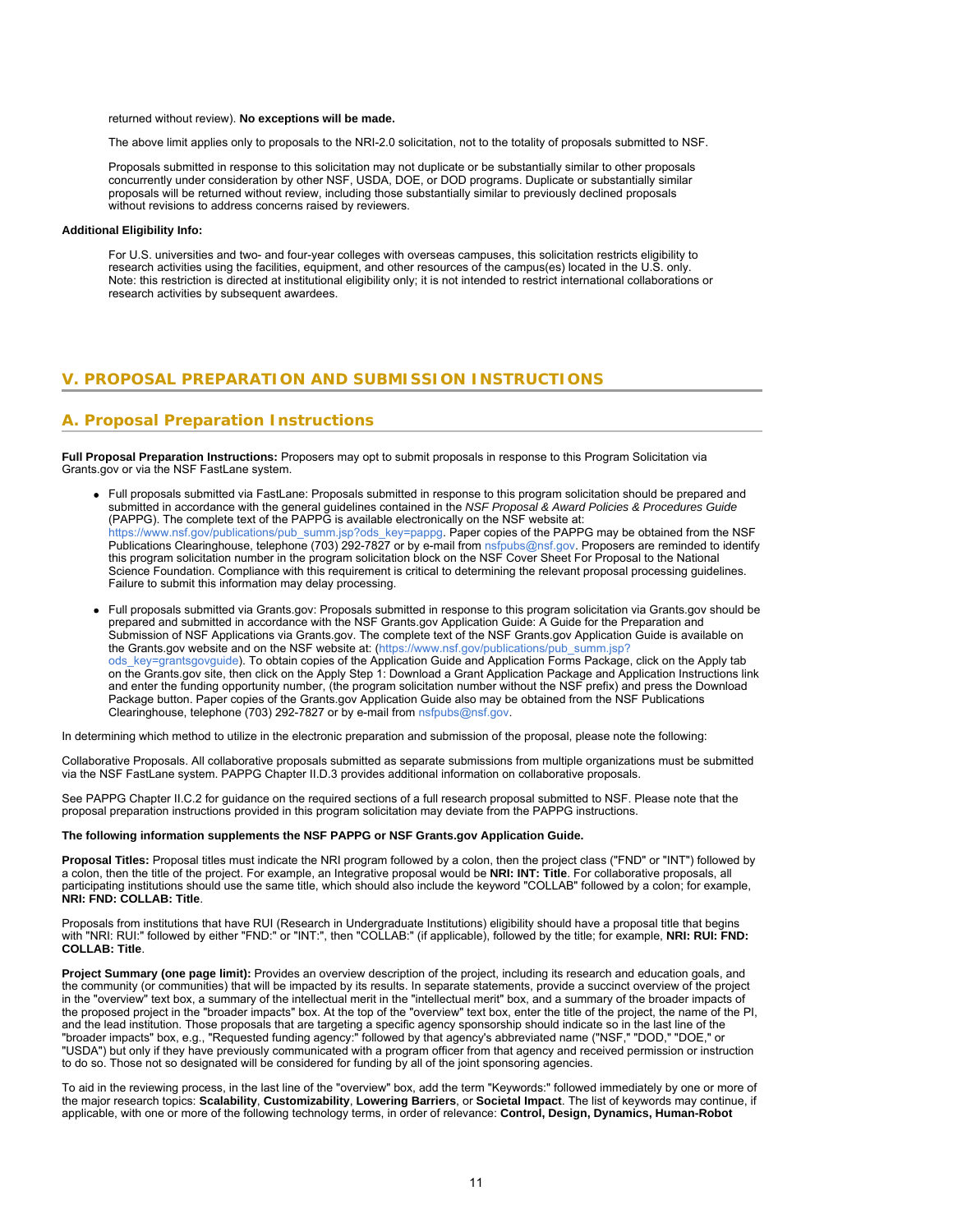returned without review). **No exceptions will be made.**

The above limit applies only to proposals to the NRI-2.0 solicitation, not to the totality of proposals submitted to NSF.

Proposals submitted in response to this solicitation may not duplicate or be substantially similar to other proposals concurrently under consideration by other NSF, USDA, DOE, or DOD programs. Duplicate or substantially similar proposals will be returned without review, including those substantially similar to previously declined proposals without revisions to address concerns raised by reviewers.

### <span id="page-10-0"></span>**Additional Eligibility Info:**

For U.S. universities and two- and four-year colleges with overseas campuses, this solicitation restricts eligibility to research activities using the facilities, equipment, and other resources of the campus(es) located in the U.S. only. Note: this restriction is directed at institutional eligibility only; it is not intended to restrict international collaborations or research activities by subsequent awardees.

# **V. PROPOSAL PREPARATION AND SUBMISSION INSTRUCTIONS**

# **A. Proposal Preparation Instructions**

**Full Proposal Preparation Instructions:** Proposers may opt to submit proposals in response to this Program Solicitation via Grants.gov or via the NSF FastLane system.

- Full proposals submitted via FastLane: Proposals submitted in response to this program solicitation should be prepared and submitted in accordance with the general guidelines contained in the *NSF Proposal & Award Policies & Procedures Guide* (PAPPG). The complete text of the PAPPG is available electronically on the NSF website at: [https://www.nsf.gov/publications/pub\\_summ.jsp?ods\\_key=pappg.](https://www.nsf.gov/publications/pub_summ.jsp?ods_key=pappg) Paper copies of the PAPPG may be obtained from the NSF Publications Clearinghouse, telephone (703) 292-7827 or by e-mail from [nsfpubs@nsf.gov](mailto:nsfpubs@nsf.gov). Proposers are reminded to identify this program solicitation number in the program solicitation block on the NSF Cover Sheet For Proposal to the National Science Foundation. Compliance with this requirement is critical to determining the relevant proposal processing guidelines. Failure to submit this information may delay processing.
- Full proposals submitted via Grants.gov: Proposals submitted in response to this program solicitation via Grants.gov should be prepared and submitted in accordance with the NSF Grants.gov Application Guide: A Guide for the Preparation and Submission of NSF Applications via Grants.gov. The complete text of the NSF Grants.gov Application Guide is available on the Grants.gov website and on the NSF website at: [\(https://www.nsf.gov/publications/pub\\_summ.jsp?](https://www.nsf.gov/publications/pub_summ.jsp?ods_key=grantsgovguide) [ods\\_key=grantsgovguide](https://www.nsf.gov/publications/pub_summ.jsp?ods_key=grantsgovguide)). To obtain copies of the Application Guide and Application Forms Package, click on the Apply tab on the Grants.gov site, then click on the Apply Step 1: Download a Grant Application Package and Application Instructions link and enter the funding opportunity number, (the program solicitation number without the NSF prefix) and press the Download Package button. Paper copies of the Grants.gov Application Guide also may be obtained from the NSF Publications Clearinghouse, telephone (703) 292-7827 or by e-mail from [nsfpubs@nsf.gov](mailto:nsfpubs@nsf.gov).

In determining which method to utilize in the electronic preparation and submission of the proposal, please note the following:

Collaborative Proposals. All collaborative proposals submitted as separate submissions from multiple organizations must be submitted via the NSF FastLane system. PAPPG Chapter II.D.3 provides additional information on collaborative proposals.

See PAPPG Chapter II.C.2 for guidance on the required sections of a full research proposal submitted to NSF. Please note that the proposal preparation instructions provided in this program solicitation may deviate from the PAPPG instructions.

### **The following information supplements the NSF PAPPG or NSF Grants.gov Application Guide.**

**Proposal Titles:** Proposal titles must indicate the NRI program followed by a colon, then the project class ("FND" or "INT") followed by a colon, then the title of the project. For example, an Integrative proposal would be **NRI: INT: Title**. For collaborative proposals, all participating institutions should use the same title, which should also include the keyword "COLLAB" followed by a colon; for example, **NRI: FND: COLLAB: Title**.

Proposals from institutions that have RUI (Research in Undergraduate Institutions) eligibility should have a proposal title that begins with "NRI: RUI:" followed by either "FND:" or "INT:", then "COLLAB:" (if applicable), followed by the title; for example, **NRI: RUI: FND: COLLAB: Title**.

Project Summary (one page limit): Provides an overview description of the project, including its research and education goals, and the community (or communities) that will be impacted by its results. In separate statements, provide a succinct overview of the project in the "overview" text box, a summary of the intellectual merit in the "intellectual merit" box, and a summary of the broader impacts of the proposed project in the "broader impacts" box. At the top of the "overview" text box, enter the title of the project, the name of the PI, and the lead institution. Those proposals that are targeting a specific agency sponsorship should indicate so in the last line of the "broader impacts" box, e.g., "Requested funding agency:" followed by that agency's abbreviated name ("NSF," "DOD," "DOE," or "USDA") but only if they have previously communicated with a program officer from that agency and received permission or instruction to do so. Those not so designated will be considered for funding by all of the joint sponsoring agencies.

To aid in the reviewing process, in the last line of the "overview" box, add the term "Keywords:" followed immediately by one or more of the major research topics: **Scalability**, **Customizability**, **Lowering Barriers**, or **Societal Impact**. The list of keywords may continue, if applicable, with one or more of the following technology terms, in order of relevance: **Control, Design, Dynamics, Human-Robot**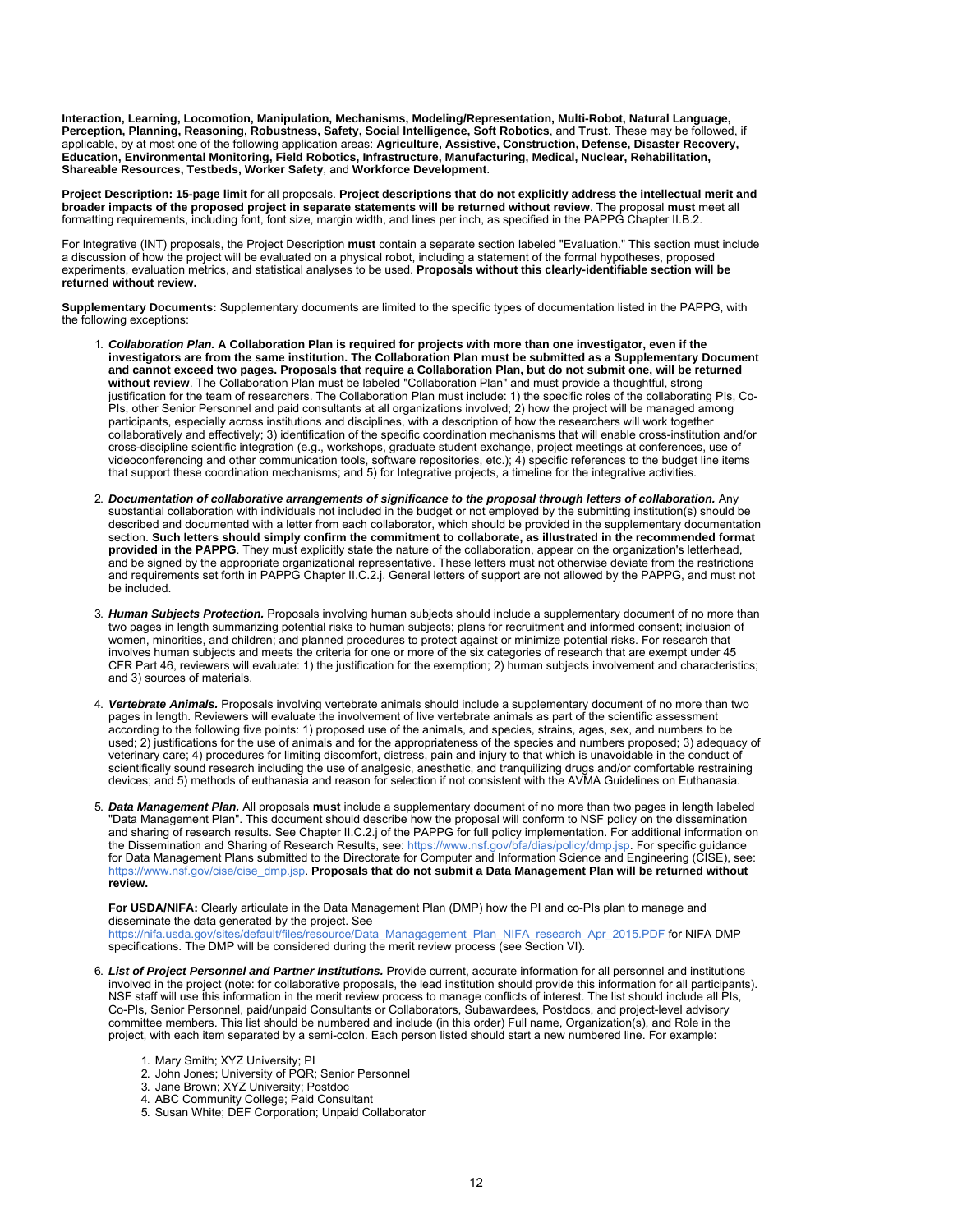**Interaction, Learning, Locomotion, Manipulation, Mechanisms, Modeling/Representation, Multi-Robot, Natural Language, Perception, Planning, Reasoning, Robustness, Safety, Social Intelligence, Soft Robotics**, and **Trust**. These may be followed, if applicable, by at most one of the following application areas: **Agriculture, Assistive, Construction, Defense, Disaster Recovery, Education, Environmental Monitoring, Field Robotics, Infrastructure, Manufacturing, Medical, Nuclear, Rehabilitation, Shareable Resources, Testbeds, Worker Safety**, and **Workforce Development**.

**Project Description: 15-page limit** for all proposals. **Project descriptions that do not explicitly address the intellectual merit and broader impacts of the proposed project in separate statements will be returned without review**. The proposal **must** meet all formatting requirements, including font, font size, margin width, and lines per inch, as specified in the PAPPG Chapter II.B.2.

For Integrative (INT) proposals, the Project Description **must** contain a separate section labeled "Evaluation." This section must include a discussion of how the project will be evaluated on a physical robot, including a statement of the formal hypotheses, proposed experiments, evaluation metrics, and statistical analyses to be used. **Proposals without this clearly-identifiable section will be returned without review.**

**Supplementary Documents:** Supplementary documents are limited to the specific types of documentation listed in the PAPPG, with the following exceptions:

- 1. *Collaboration Plan.* **A Collaboration Plan is required for projects with more than one investigator, even if the investigators are from the same institution. The Collaboration Plan must be submitted as a Supplementary Document and cannot exceed two pages. Proposals that require a Collaboration Plan, but do not submit one, will be returned without review**. The Collaboration Plan must be labeled "Collaboration Plan" and must provide a thoughtful, strong justification for the team of researchers. The Collaboration Plan must include: 1) the specific roles of the collaborating PIs, Co-PIs, other Senior Personnel and paid consultants at all organizations involved; 2) how the project will be managed among participants, especially across institutions and disciplines, with a description of how the researchers will work together collaboratively and effectively; 3) identification of the specific coordination mechanisms that will enable cross-institution and/or cross-discipline scientific integration (e.g., workshops, graduate student exchange, project meetings at conferences, use of videoconferencing and other communication tools, software repositories, etc.); 4) specific references to the budget line items that support these coordination mechanisms; and 5) for Integrative projects, a timeline for the integrative activities.
- 2. *Documentation of collaborative arrangements of significance to the proposal through letters of collaboration.* Any substantial collaboration with individuals not included in the budget or not employed by the submitting institution(s) should be described and documented with a letter from each collaborator, which should be provided in the supplementary documentation section. **Such letters should simply confirm the commitment to collaborate, as illustrated in the recommended format provided in the PAPPG**. They must explicitly state the nature of the collaboration, appear on the organization's letterhead, and be signed by the appropriate organizational representative. These letters must not otherwise deviate from the restrictions and requirements set forth in PAPPG Chapter II.C.2.j. General letters of support are not allowed by the PAPPG, and must not be included.
- 3. *Human Subjects Protection.* Proposals involving human subjects should include a supplementary document of no more than two pages in length summarizing potential risks to human subjects; plans for recruitment and informed consent; inclusion of women, minorities, and children; and planned procedures to protect against or minimize potential risks. For research that involves human subjects and meets the criteria for one or more of the six categories of research that are exempt under 45 CFR Part 46, reviewers will evaluate: 1) the justification for the exemption; 2) human subjects involvement and characteristics; and 3) sources of materials.
- 4. *Vertebrate Animals.* Proposals involving vertebrate animals should include a supplementary document of no more than two pages in length. Reviewers will evaluate the involvement of live vertebrate animals as part of the scientific assessment according to the following five points: 1) proposed use of the animals, and species, strains, ages, sex, and numbers to be used; 2) justifications for the use of animals and for the appropriateness of the species and numbers proposed; 3) adequacy of veterinary care; 4) procedures for limiting discomfort, distress, pain and injury to that which is unavoidable in the conduct of scientifically sound research including the use of analgesic, anesthetic, and tranquilizing drugs and/or comfortable restraining devices; and 5) methods of euthanasia and reason for selection if not consistent with the AVMA Guidelines on Euthanasia.
- 5. *Data Management Plan.* All proposals **must** include a supplementary document of no more than two pages in length labeled "Data Management Plan". This document should describe how the proposal will conform to NSF policy on the dissemination and sharing of research results. See Chapter II.C.2.j of the PAPPG for full policy implementation. For additional information on the Dissemination and Sharing of Research Results, see: [https://www.nsf.gov/bfa/dias/policy/dmp.jsp.](https://www.nsf.gov/bfa/dias/policy/dmp.jsp) For specific guidance for Data Management Plans submitted to the Directorate for Computer and Information Science and Engineering (CISE), see: [https://www.nsf.gov/cise/cise\\_dmp.jsp](https://www.nsf.gov/cise/cise_dmp.jsp). **Proposals that do not submit a Data Management Plan will be returned without review.**

**For USDA/NIFA:** Clearly articulate in the Data Management Plan (DMP) how the PI and co-PIs plan to manage and disseminate the data generated by the project. See

[https://nifa.usda.gov/sites/default/files/resource/Data\\_Managagement\\_Plan\\_NIFA\\_research\\_Apr\\_2015.PDF](https://nifa.usda.gov/sites/default/files/resource/Data_Managagement_Plan_NIFA_research_Apr_2015.PDF) for NIFA DMP specifications. The DMP will be considered during the merit review process (see Section VI).

- 6. *List of Project Personnel and Partner Institutions.* Provide current, accurate information for all personnel and institutions involved in the project (note: for collaborative proposals, the lead institution should provide this information for all participants). NSF staff will use this information in the merit review process to manage conflicts of interest. The list should include all PIs, Co-PIs, Senior Personnel, paid/unpaid Consultants or Collaborators, Subawardees, Postdocs, and project-level advisory committee members. This list should be numbered and include (in this order) Full name, Organization(s), and Role in the project, with each item separated by a semi-colon. Each person listed should start a new numbered line. For example:
	- 1. Mary Smith; XYZ University; PI
	- 2. John Jones; University of PQR; Senior Personnel
	- 3. Jane Brown; XYZ University; Postdoc
	- 4. ABC Community College; Paid Consultant
	- 5. Susan White; DEF Corporation; Unpaid Collaborator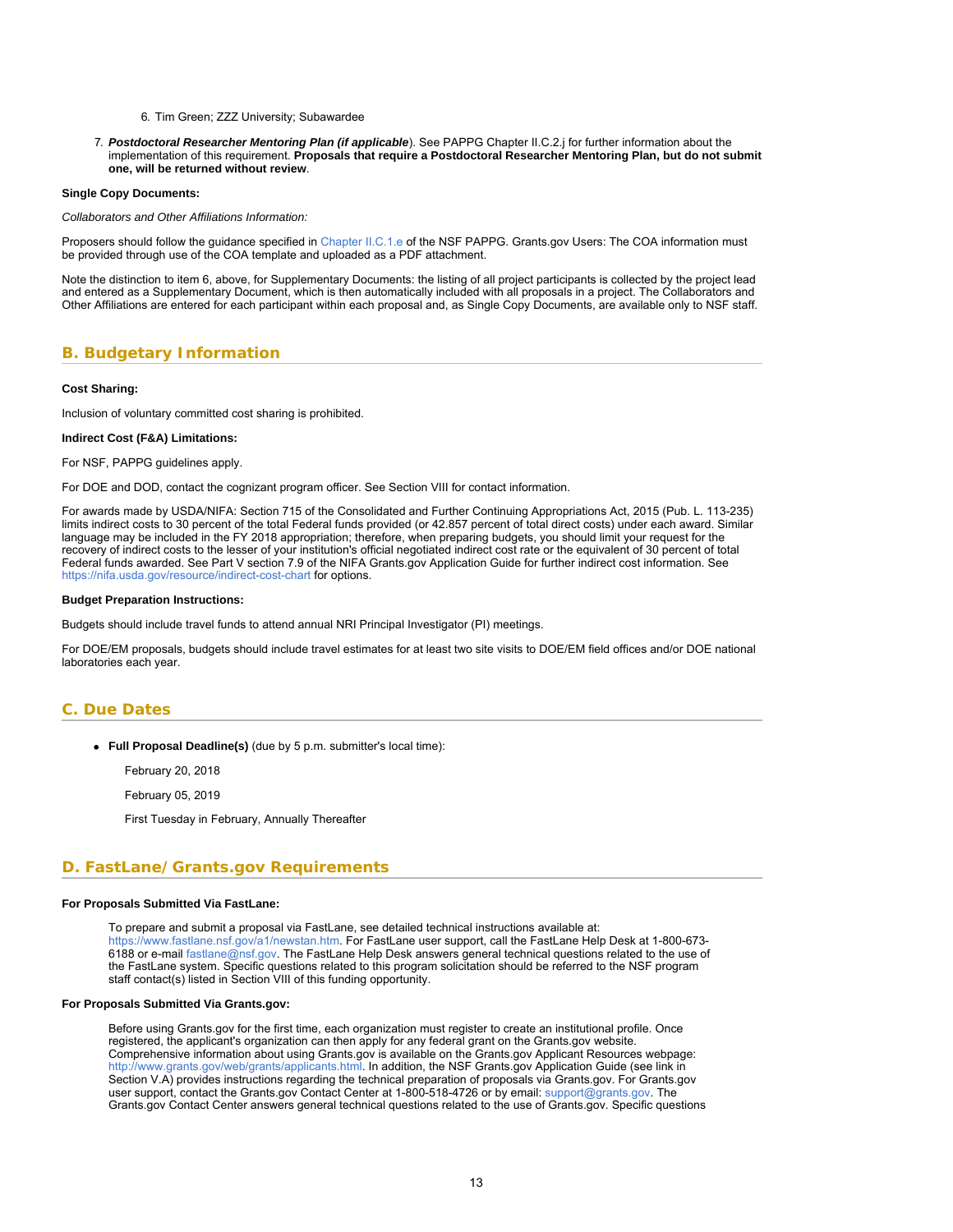### 6. Tim Green; ZZZ University; Subawardee

7. *Postdoctoral Researcher Mentoring Plan (if applicable*). See PAPPG Chapter II.C.2.j for further information about the implementation of this requirement. **Proposals that require a Postdoctoral Researcher Mentoring Plan, but do not submit one, will be returned without review**.

#### **Single Copy Documents:**

*Collaborators and Other Affiliations Information:*

Proposers should follow the guidance specified in [Chapter II.C.1.e](https://www.nsf.gov/pubs/policydocs/pappg18_1/pappg_2.jsp#IIC1e) of the NSF PAPPG. Grants.gov Users: The COA information must be provided through use of the COA template and uploaded as a PDF attachment.

<span id="page-12-0"></span>Note the distinction to item 6, above, for Supplementary Documents: the listing of all project participants is collected by the project lead and entered as a Supplementary Document, which is then automatically included with all proposals in a project. The Collaborators and Other Affiliations are entered for each participant within each proposal and, as Single Copy Documents, are available only to NSF staff.

# **B. Budgetary Information**

#### **Cost Sharing:**

Inclusion of voluntary committed cost sharing is prohibited.

#### **Indirect Cost (F&A) Limitations:**

For NSF, PAPPG guidelines apply.

For DOE and DOD, contact the cognizant program officer. See Section VIII for contact information.

For awards made by USDA/NIFA: Section 715 of the Consolidated and Further Continuing Appropriations Act, 2015 (Pub. L. 113-235) limits indirect costs to 30 percent of the total Federal funds provided (or 42.857 percent of total direct costs) under each award. Similar language may be included in the FY 2018 appropriation; therefore, when preparing budgets, you should limit your request for the recovery of indirect costs to the lesser of your institution's official negotiated indirect cost rate or the equivalent of 30 percent of total Federal funds awarded. See Part V section 7.9 of the NIFA Grants.gov Application Guide for further indirect cost information. See <https://nifa.usda.gov/resource/indirect-cost-chart>for options.

### **Budget Preparation Instructions:**

Budgets should include travel funds to attend annual NRI Principal Investigator (PI) meetings.

<span id="page-12-1"></span>For DOE/EM proposals, budgets should include travel estimates for at least two site visits to DOE/EM field offices and/or DOE national laboratories each year.

# **C. Due Dates**

**Full Proposal Deadline(s)** (due by 5 p.m. submitter's local time):

February 20, 2018

February 05, 2019

First Tuesday in February, Annually Thereafter

### <span id="page-12-2"></span>**D. FastLane/Grants.gov Requirements**

### **For Proposals Submitted Via FastLane:**

To prepare and submit a proposal via FastLane, see detailed technical instructions available at: <https://www.fastlane.nsf.gov/a1/newstan.htm>. For FastLane user support, call the FastLane Help Desk at 1-800-673- 6188 or e-mail [fastlane@nsf.gov](mailto:fastlane@nsf.gov). The FastLane Help Desk answers general technical questions related to the use of the FastLane system. Specific questions related to this program solicitation should be referred to the NSF program staff contact(s) listed in Section VIII of this funding opportunity.

### **For Proposals Submitted Via Grants.gov:**

Before using Grants.gov for the first time, each organization must register to create an institutional profile. Once registered, the applicant's organization can then apply for any federal grant on the Grants.gov website. Comprehensive information about using Grants.gov is available on the Grants.gov Applicant Resources webpage: [http://www.grants.gov/web/grants/applicants.html.](http://www.grants.gov/web/grants/applicants.html) In addition, the NSF Grants.gov Application Guide (see link in Section V.A) provides instructions regarding the technical preparation of proposals via Grants.gov. For Grants.gov user support, contact the Grants.gov Contact Center at 1-800-518-4726 or by email: [support@grants.gov.](mailto:support@grants.gov) The Grants.gov Contact Center answers general technical questions related to the use of Grants.gov. Specific questions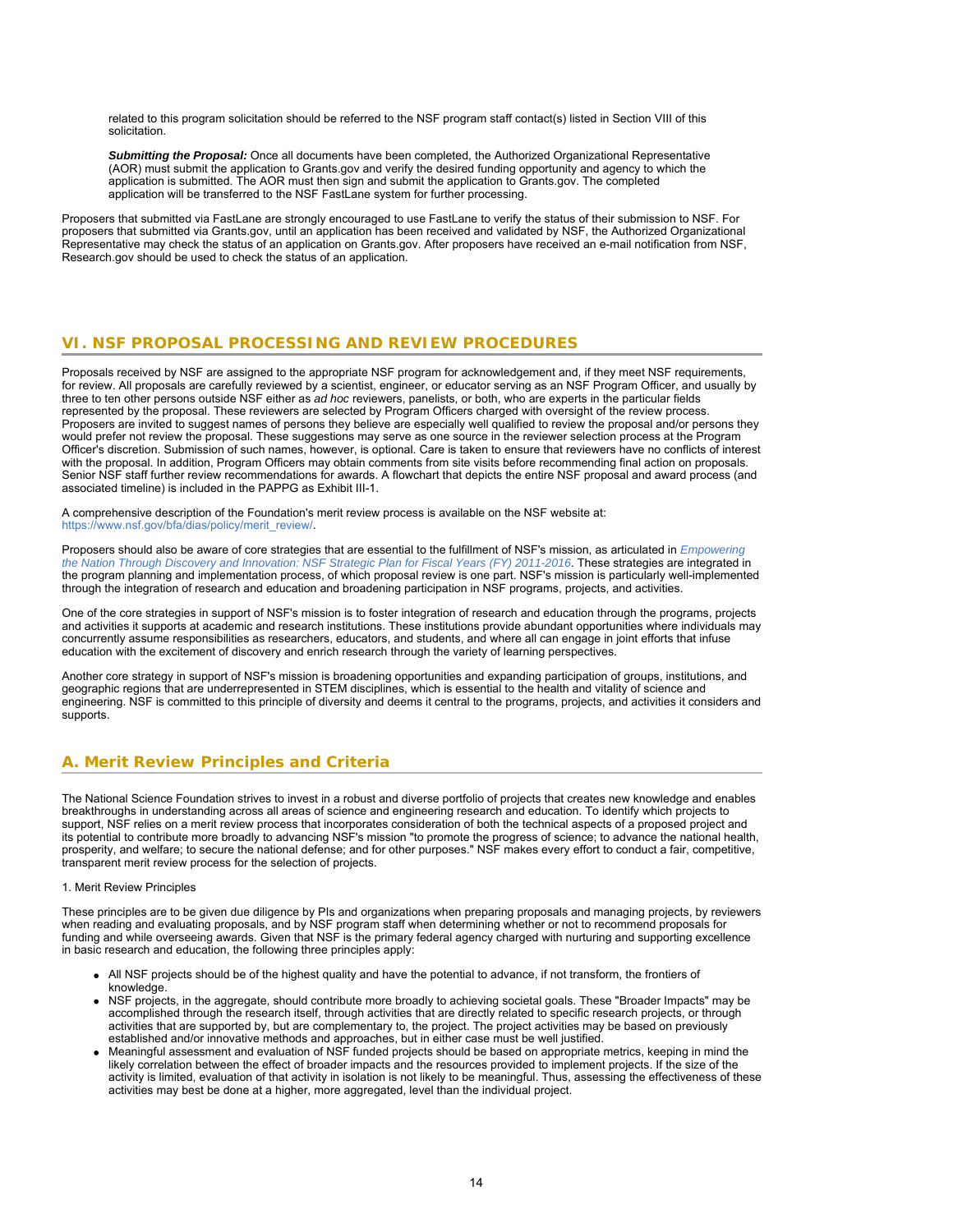related to this program solicitation should be referred to the NSF program staff contact(s) listed in Section VIII of this solicitation.

*Submitting the Proposal:* Once all documents have been completed, the Authorized Organizational Representative (AOR) must submit the application to Grants.gov and verify the desired funding opportunity and agency to which the application is submitted. The AOR must then sign and submit the application to Grants.gov. The completed application will be transferred to the NSF FastLane system for further processing.

<span id="page-13-0"></span>Proposers that submitted via FastLane are strongly encouraged to use FastLane to verify the status of their submission to NSF. For proposers that submitted via Grants.gov, until an application has been received and validated by NSF, the Authorized Organizational Representative may check the status of an application on Grants.gov. After proposers have received an e-mail notification from NSF, Research.gov should be used to check the status of an application.

# **VI. NSF PROPOSAL PROCESSING AND REVIEW PROCEDURES**

Proposals received by NSF are assigned to the appropriate NSF program for acknowledgement and, if they meet NSF requirements, for review. All proposals are carefully reviewed by a scientist, engineer, or educator serving as an NSF Program Officer, and usually by three to ten other persons outside NSF either as *ad hoc* reviewers, panelists, or both, who are experts in the particular fields represented by the proposal. These reviewers are selected by Program Officers charged with oversight of the review process. Proposers are invited to suggest names of persons they believe are especially well qualified to review the proposal and/or persons they would prefer not review the proposal. These suggestions may serve as one source in the reviewer selection process at the Program Officer's discretion. Submission of such names, however, is optional. Care is taken to ensure that reviewers have no conflicts of interest with the proposal. In addition, Program Officers may obtain comments from site visits before recommending final action on proposals. Senior NSF staff further review recommendations for awards. A flowchart that depicts the entire NSF proposal and award process (and associated timeline) is included in the PAPPG as Exhibit III-1.

A comprehensive description of the Foundation's merit review process is available on the NSF website at: [https://www.nsf.gov/bfa/dias/policy/merit\\_review/](https://www.nsf.gov/bfa/dias/policy/merit_review/).

Proposers should also be aware of core strategies that are essential to the fulfillment of NSF's mission, as articulated in *[Empowering](https://www.nsf.gov/news/strategicplan/nsfstrategicplan_2011_2016.pdf) [the Nation Through Discovery and Innovation: NSF Strategic Plan for Fiscal Years \(FY\) 2011-2016](https://www.nsf.gov/news/strategicplan/nsfstrategicplan_2011_2016.pdf)*. These strategies are integrated in the program planning and implementation process, of which proposal review is one part. NSF's mission is particularly well-implemented through the integration of research and education and broadening participation in NSF programs, projects, and activities.

One of the core strategies in support of NSF's mission is to foster integration of research and education through the programs, projects and activities it supports at academic and research institutions. These institutions provide abundant opportunities where individuals may concurrently assume responsibilities as researchers, educators, and students, and where all can engage in joint efforts that infuse education with the excitement of discovery and enrich research through the variety of learning perspectives.

Another core strategy in support of NSF's mission is broadening opportunities and expanding participation of groups, institutions, and geographic regions that are underrepresented in STEM disciplines, which is essential to the health and vitality of science and engineering. NSF is committed to this principle of diversity and deems it central to the programs, projects, and activities it considers and supports.

# <span id="page-13-1"></span>**A. Merit Review Principles and Criteria**

The National Science Foundation strives to invest in a robust and diverse portfolio of projects that creates new knowledge and enables breakthroughs in understanding across all areas of science and engineering research and education. To identify which projects to support, NSF relies on a merit review process that incorporates consideration of both the technical aspects of a proposed project and its potential to contribute more broadly to advancing NSF's mission "to promote the progress of science; to advance the national health, prosperity, and welfare; to secure the national defense; and for other purposes." NSF makes every effort to conduct a fair, competitive, transparent merit review process for the selection of projects.

### 1. Merit Review Principles

These principles are to be given due diligence by PIs and organizations when preparing proposals and managing projects, by reviewers when reading and evaluating proposals, and by NSF program staff when determining whether or not to recommend proposals for funding and while overseeing awards. Given that NSF is the primary federal agency charged with nurturing and supporting excellence in basic research and education, the following three principles apply:

- All NSF projects should be of the highest quality and have the potential to advance, if not transform, the frontiers of knowledge.
- NSF projects, in the aggregate, should contribute more broadly to achieving societal goals. These "Broader Impacts" may be accomplished through the research itself, through activities that are directly related to specific research projects, or through activities that are supported by, but are complementary to, the project. The project activities may be based on previously established and/or innovative methods and approaches, but in either case must be well justified.
- Meaningful assessment and evaluation of NSF funded projects should be based on appropriate metrics, keeping in mind the likely correlation between the effect of broader impacts and the resources provided to implement projects. If the size of the activity is limited, evaluation of that activity in isolation is not likely to be meaningful. Thus, assessing the effectiveness of these activities may best be done at a higher, more aggregated, level than the individual project.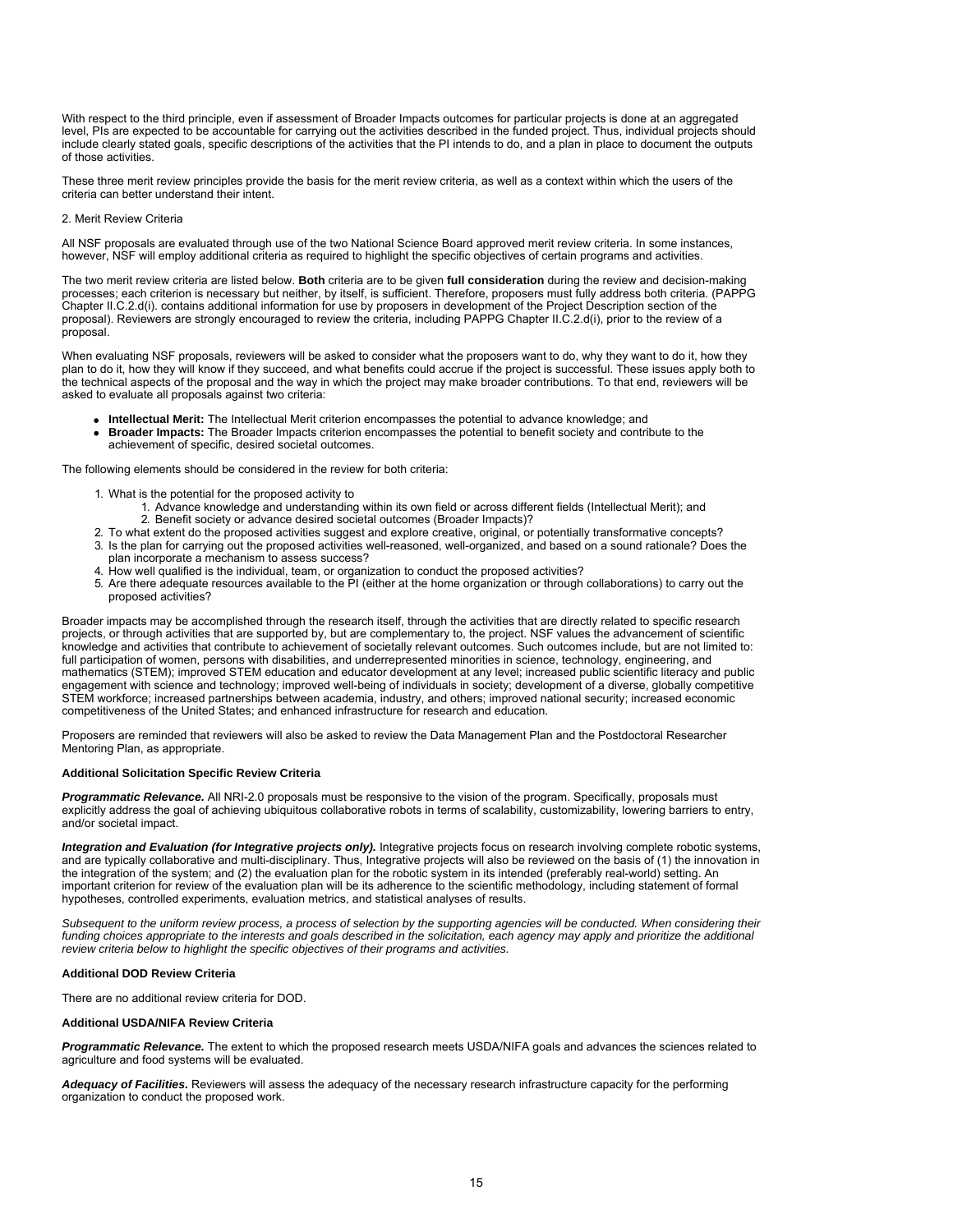With respect to the third principle, even if assessment of Broader Impacts outcomes for particular projects is done at an aggregated level, PIs are expected to be accountable for carrying out the activities described in the funded project. Thus, individual projects should include clearly stated goals, specific descriptions of the activities that the PI intends to do, and a plan in place to document the outputs of those activities.

These three merit review principles provide the basis for the merit review criteria, as well as a context within which the users of the criteria can better understand their intent.

### 2. Merit Review Criteria

All NSF proposals are evaluated through use of the two National Science Board approved merit review criteria. In some instances, however, NSF will employ additional criteria as required to highlight the specific objectives of certain programs and activities.

The two merit review criteria are listed below. **Both** criteria are to be given **full consideration** during the review and decision-making processes; each criterion is necessary but neither, by itself, is sufficient. Therefore, proposers must fully address both criteria. (PAPPG Chapter II.C.2.d(i). contains additional information for use by proposers in development of the Project Description section of the proposal). Reviewers are strongly encouraged to review the criteria, including PAPPG Chapter II.C.2.d(i), prior to the review of a proposal.

When evaluating NSF proposals, reviewers will be asked to consider what the proposers want to do, why they want to do it, how they plan to do it, how they will know if they succeed, and what benefits could accrue if the project is successful. These issues apply both to the technical aspects of the proposal and the way in which the project may make broader contributions. To that end, reviewers will be asked to evaluate all proposals against two criteria:

- **Intellectual Merit:** The Intellectual Merit criterion encompasses the potential to advance knowledge; and
- **Broader Impacts:** The Broader Impacts criterion encompasses the potential to benefit society and contribute to the achievement of specific, desired societal outcomes.

The following elements should be considered in the review for both criteria:

- 1. What is the potential for the proposed activity to
	- 1. Advance knowledge and understanding within its own field or across different fields (Intellectual Merit); and 2. Benefit society or advance desired societal outcomes (Broader Impacts)?
- 2. To what extent do the proposed activities suggest and explore creative, original, or potentially transformative concepts?
- 3. Is the plan for carrying out the proposed activities well-reasoned, well-organized, and based on a sound rationale? Does the plan incorporate a mechanism to assess success?
- 4. How well qualified is the individual, team, or organization to conduct the proposed activities?
- 5. Are there adequate resources available to the PI (either at the home organization or through collaborations) to carry out the proposed activities?

Broader impacts may be accomplished through the research itself, through the activities that are directly related to specific research projects, or through activities that are supported by, but are complementary to, the project. NSF values the advancement of scientific knowledge and activities that contribute to achievement of societally relevant outcomes. Such outcomes include, but are not limited to: full participation of women, persons with disabilities, and underrepresented minorities in science, technology, engineering, and mathematics (STEM); improved STEM education and educator development at any level; increased public scientific literacy and public engagement with science and technology; improved well-being of individuals in society; development of a diverse, globally competitive STEM workforce; increased partnerships between academia, industry, and others; improved national security; increased economic competitiveness of the United States; and enhanced infrastructure for research and education.

Proposers are reminded that reviewers will also be asked to review the Data Management Plan and the Postdoctoral Researcher Mentoring Plan, as appropriate.

### **Additional Solicitation Specific Review Criteria**

**Programmatic Relevance.** All NRI-2.0 proposals must be responsive to the vision of the program. Specifically, proposals must explicitly address the goal of achieving ubiquitous collaborative robots in terms of scalability, customizability, lowering barriers to entry, and/or societal impact.

*Integration and Evaluation (for Integrative projects only).* Integrative projects focus on research involving complete robotic systems, and are typically collaborative and multi-disciplinary. Thus, Integrative projects will also be reviewed on the basis of (1) the innovation in the integration of the system; and (2) the evaluation plan for the robotic system in its intended (preferably real-world) setting. An important criterion for review of the evaluation plan will be its adherence to the scientific methodology, including statement of formal hypotheses, controlled experiments, evaluation metrics, and statistical analyses of results.

*Subsequent to the uniform review process, a process of selection by the supporting agencies will be conducted. When considering their funding choices appropriate to the interests and goals described in the solicitation, each agency may apply and prioritize the additional review criteria below to highlight the specific objectives of their programs and activities.*

### **Additional DOD Review Criteria**

There are no additional review criteria for DOD.

### **Additional USDA/NIFA Review Criteria**

*Programmatic Relevance.* The extent to which the proposed research meets USDA/NIFA goals and advances the sciences related to agriculture and food systems will be evaluated.

Adequacy of Facilities. Reviewers will assess the adequacy of the necessary research infrastructure capacity for the performing organization to conduct the proposed work.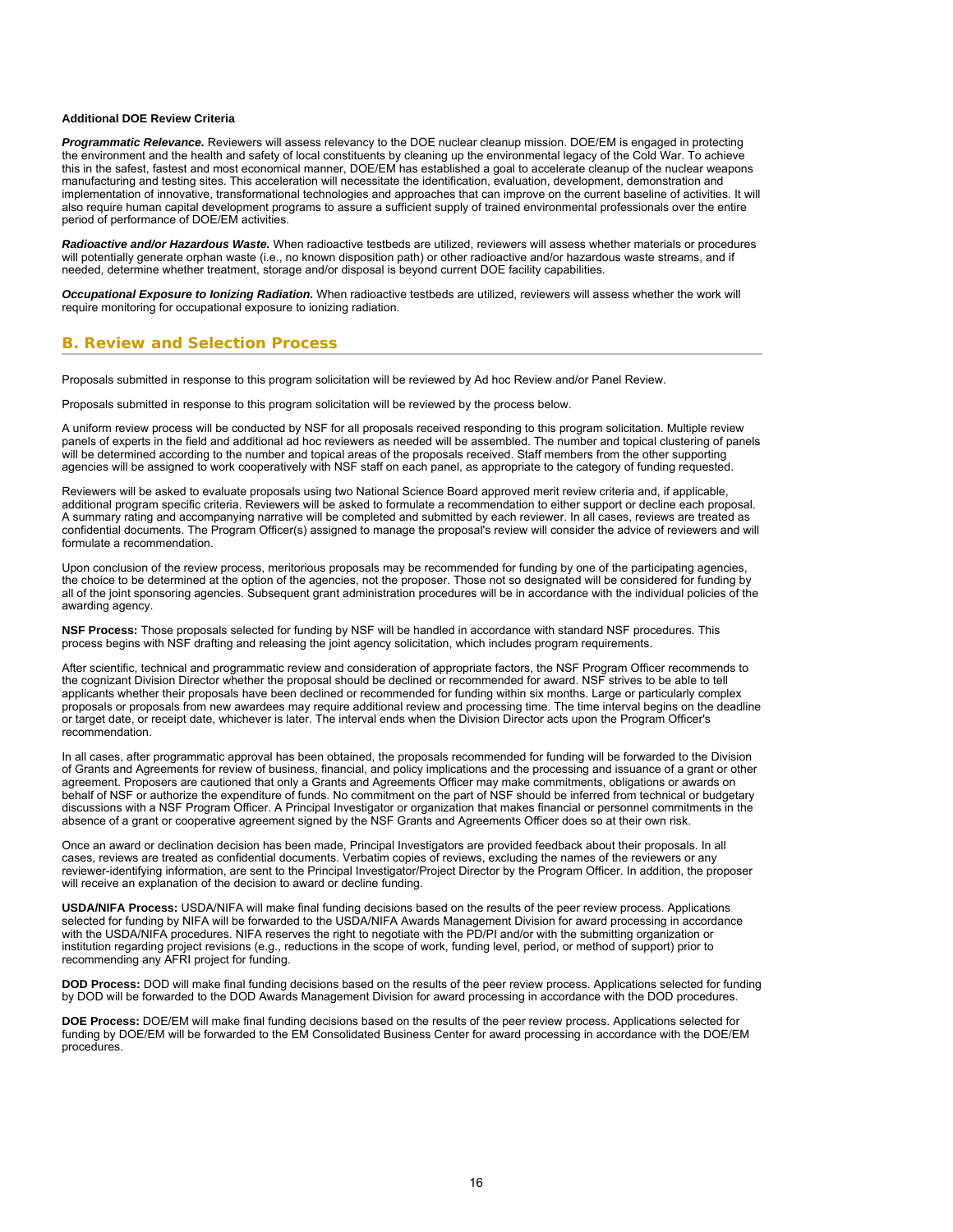### **Additional DOE Review Criteria**

*Programmatic Relevance.* Reviewers will assess relevancy to the DOE nuclear cleanup mission. DOE/EM is engaged in protecting the environment and the health and safety of local constituents by cleaning up the environmental legacy of the Cold War. To achieve this in the safest, fastest and most economical manner, DOE/EM has established a goal to accelerate cleanup of the nuclear weapons manufacturing and testing sites. This acceleration will necessitate the identification, evaluation, development, demonstration and implementation of innovative, transformational technologies and approaches that can improve on the current baseline of activities. It will also require human capital development programs to assure a sufficient supply of trained environmental professionals over the entire period of performance of DOE/EM activities.

*Radioactive and/or Hazardous Waste.* When radioactive testbeds are utilized, reviewers will assess whether materials or procedures will potentially generate orphan waste (i.e., no known disposition path) or other radioactive and/or hazardous waste streams, and if needed, determine whether treatment, storage and/or disposal is beyond current DOE facility capabilities.

*Occupational Exposure to Ionizing Radiation.* When radioactive testbeds are utilized, reviewers will assess whether the work will require monitoring for occupational exposure to ionizing radiation.

### <span id="page-15-0"></span>**B. Review and Selection Process**

Proposals submitted in response to this program solicitation will be reviewed by Ad hoc Review and/or Panel Review.

Proposals submitted in response to this program solicitation will be reviewed by the process below.

A uniform review process will be conducted by NSF for all proposals received responding to this program solicitation. Multiple review panels of experts in the field and additional ad hoc reviewers as needed will be assembled. The number and topical clustering of panels will be determined according to the number and topical areas of the proposals received. Staff members from the other supporting agencies will be assigned to work cooperatively with NSF staff on each panel, as appropriate to the category of funding requested.

Reviewers will be asked to evaluate proposals using two National Science Board approved merit review criteria and, if applicable, additional program specific criteria. Reviewers will be asked to formulate a recommendation to either support or decline each proposal. A summary rating and accompanying narrative will be completed and submitted by each reviewer. In all cases, reviews are treated as confidential documents. The Program Officer(s) assigned to manage the proposal's review will consider the advice of reviewers and will formulate a recommendation.

Upon conclusion of the review process, meritorious proposals may be recommended for funding by one of the participating agencies, the choice to be determined at the option of the agencies, not the proposer. Those not so designated will be considered for funding by all of the joint sponsoring agencies. Subsequent grant administration procedures will be in accordance with the individual policies of the awarding agency.

**NSF Process:** Those proposals selected for funding by NSF will be handled in accordance with standard NSF procedures. This process begins with NSF drafting and releasing the joint agency solicitation, which includes program requirements.

After scientific, technical and programmatic review and consideration of appropriate factors, the NSF Program Officer recommends to the cognizant Division Director whether the proposal should be declined or recommended for award. NSF strives to be able to tell applicants whether their proposals have been declined or recommended for funding within six months. Large or particularly complex proposals or proposals from new awardees may require additional review and processing time. The time interval begins on the deadline or target date, or receipt date, whichever is later. The interval ends when the Division Director acts upon the Program Officer's recommendation.

In all cases, after programmatic approval has been obtained, the proposals recommended for funding will be forwarded to the Division of Grants and Agreements for review of business, financial, and policy implications and the processing and issuance of a grant or other agreement. Proposers are cautioned that only a Grants and Agreements Officer may make commitments, obligations or awards on behalf of NSF or authorize the expenditure of funds. No commitment on the part of NSF should be inferred from technical or budgetary discussions with a NSF Program Officer. A Principal Investigator or organization that makes financial or personnel commitments in the absence of a grant or cooperative agreement signed by the NSF Grants and Agreements Officer does so at their own risk.

Once an award or declination decision has been made, Principal Investigators are provided feedback about their proposals. In all cases, reviews are treated as confidential documents. Verbatim copies of reviews, excluding the names of the reviewers or any reviewer-identifying information, are sent to the Principal Investigator/Project Director by the Program Officer. In addition, the proposer will receive an explanation of the decision to award or decline funding.

**USDA/NIFA Process:** USDA/NIFA will make final funding decisions based on the results of the peer review process. Applications selected for funding by NIFA will be forwarded to the USDA/NIFA Awards Management Division for award processing in accordance with the USDA/NIFA procedures. NIFA reserves the right to negotiate with the PD/PI and/or with the submitting organization or institution regarding project revisions (e.g., reductions in the scope of work, funding level, period, or method of support) prior to recommending any AFRI project for funding.

**DOD Process:** DOD will make final funding decisions based on the results of the peer review process. Applications selected for funding by DOD will be forwarded to the DOD Awards Management Division for award processing in accordance with the DOD procedures.

**DOE Process:** DOE/EM will make final funding decisions based on the results of the peer review process. Applications selected for funding by DOE/EM will be forwarded to the EM Consolidated Business Center for award processing in accordance with the DOE/EM procedures.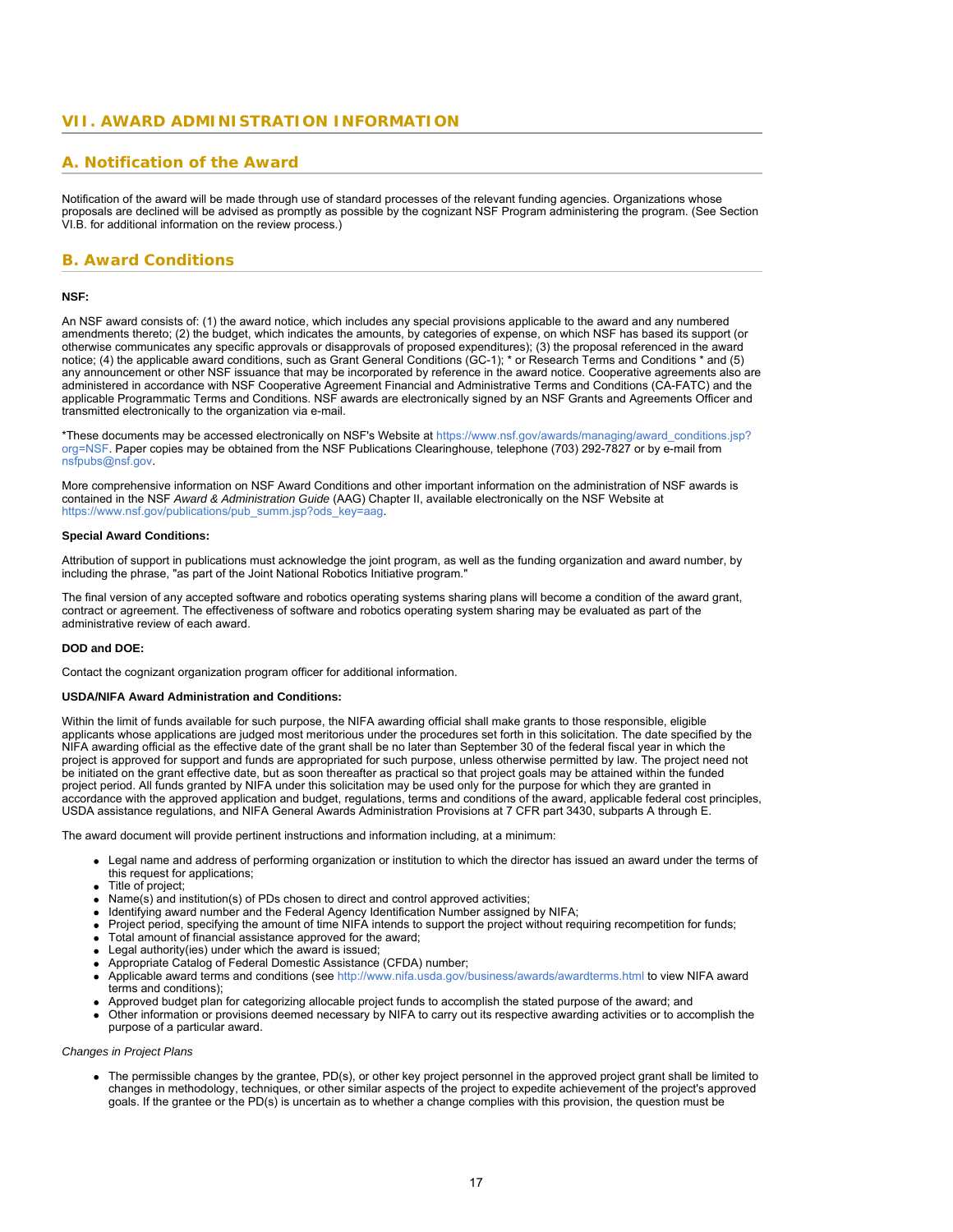# <span id="page-16-0"></span>**VII. AWARD ADMINISTRATION INFORMATION**

# <span id="page-16-1"></span>**A. Notification of the Award**

Notification of the award will be made through use of standard processes of the relevant funding agencies. Organizations whose proposals are declined will be advised as promptly as possible by the cognizant NSF Program administering the program. (See Section VI.B. for additional information on the review process.)

# <span id="page-16-2"></span>**B. Award Conditions**

### **NSF:**

An NSF award consists of: (1) the award notice, which includes any special provisions applicable to the award and any numbered amendments thereto; (2) the budget, which indicates the amounts, by categories of expense, on which NSF has based its support (or otherwise communicates any specific approvals or disapprovals of proposed expenditures); (3) the proposal referenced in the award notice; (4) the applicable award conditions, such as Grant General Conditions (GC-1); \* or Research Terms and Conditions \* and (5) any announcement or other NSF issuance that may be incorporated by reference in the award notice. Cooperative agreements also are administered in accordance with NSF Cooperative Agreement Financial and Administrative Terms and Conditions (CA-FATC) and the applicable Programmatic Terms and Conditions. NSF awards are electronically signed by an NSF Grants and Agreements Officer and transmitted electronically to the organization via e-mail.

\*These documents may be accessed electronically on NSF's Website at [https://www.nsf.gov/awards/managing/award\\_conditions.jsp?](https://www.nsf.gov/awards/managing/award_conditions.jsp?org=NSF) [org=NSF.](https://www.nsf.gov/awards/managing/award_conditions.jsp?org=NSF) Paper copies may be obtained from the NSF Publications Clearinghouse, telephone (703) 292-7827 or by e-mail from [nsfpubs@nsf.gov.](mailto:nsfpubs@nsf.gov)

More comprehensive information on NSF Award Conditions and other important information on the administration of NSF awards is contained in the NSF *Award & Administration Guide* (AAG) Chapter II, available electronically on the NSF Website at [https://www.nsf.gov/publications/pub\\_summ.jsp?ods\\_key=aag](https://www.nsf.gov/publications/pub_summ.jsp?ods_key=aag).

### **Special Award Conditions:**

Attribution of support in publications must acknowledge the joint program, as well as the funding organization and award number, by including the phrase, "as part of the Joint National Robotics Initiative program."

The final version of any accepted software and robotics operating systems sharing plans will become a condition of the award grant, contract or agreement. The effectiveness of software and robotics operating system sharing may be evaluated as part of the administrative review of each award.

### **DOD and DOE:**

Contact the cognizant organization program officer for additional information.

#### **USDA/NIFA Award Administration and Conditions:**

Within the limit of funds available for such purpose, the NIFA awarding official shall make grants to those responsible, eligible applicants whose applications are judged most meritorious under the procedures set forth in this solicitation. The date specified by the NIFA awarding official as the effective date of the grant shall be no later than September 30 of the federal fiscal year in which the project is approved for support and funds are appropriated for such purpose, unless otherwise permitted by law. The project need not be initiated on the grant effective date, but as soon thereafter as practical so that project goals may be attained within the funded project period. All funds granted by NIFA under this solicitation may be used only for the purpose for which they are granted in accordance with the approved application and budget, regulations, terms and conditions of the award, applicable federal cost principles, USDA assistance regulations, and NIFA General Awards Administration Provisions at 7 CFR part 3430, subparts A through E.

The award document will provide pertinent instructions and information including, at a minimum:

- Legal name and address of performing organization or institution to which the director has issued an award under the terms of this request for applications;
- Title of project;
- Name(s) and institution(s) of PDs chosen to direct and control approved activities;
- Identifying award number and the Federal Agency Identification Number assigned by NIFA;
- Project period, specifying the amount of time NIFA intends to support the project without requiring recompetition for funds;
- Total amount of financial assistance approved for the award;
- Legal authority(ies) under which the award is issued;
- Appropriate Catalog of Federal Domestic Assistance (CFDA) number;
- Applicable award terms and conditions (see <http://www.nifa.usda.gov/business/awards/awardterms.html> to view NIFA award terms and conditions);
- Approved budget plan for categorizing allocable project funds to accomplish the stated purpose of the award; and
- Other information or provisions deemed necessary by NIFA to carry out its respective awarding activities or to accomplish the purpose of a particular award.

### *Changes in Project Plans*

The permissible changes by the grantee, PD(s), or other key project personnel in the approved project grant shall be limited to changes in methodology, techniques, or other similar aspects of the project to expedite achievement of the project's approved goals. If the grantee or the PD(s) is uncertain as to whether a change complies with this provision, the question must be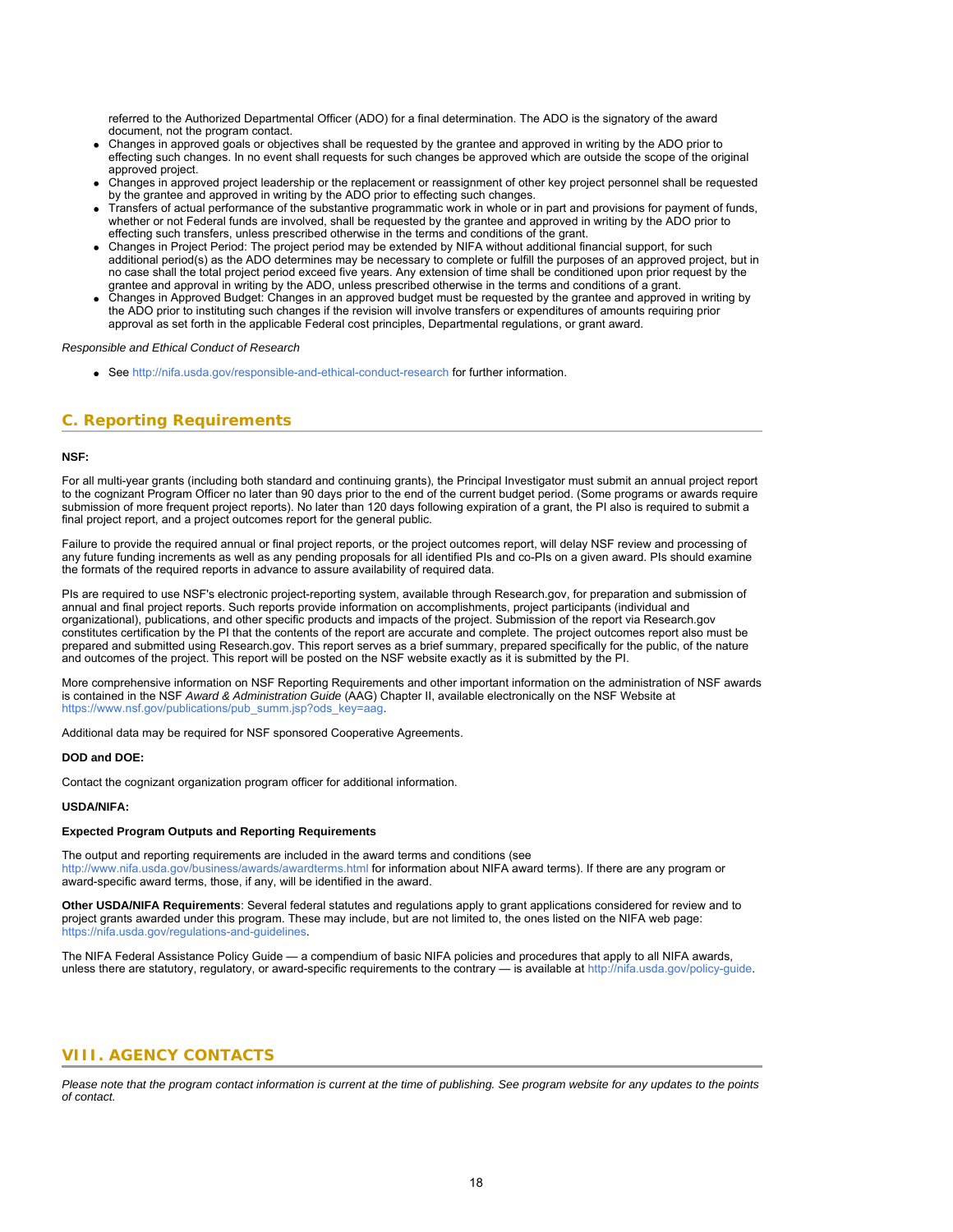referred to the Authorized Departmental Officer (ADO) for a final determination. The ADO is the signatory of the award document, not the program contact.

- Changes in approved goals or objectives shall be requested by the grantee and approved in writing by the ADO prior to effecting such changes. In no event shall requests for such changes be approved which are outside the scope of the original approved project.
- Changes in approved project leadership or the replacement or reassignment of other key project personnel shall be requested by the grantee and approved in writing by the ADO prior to effecting such changes.
- Transfers of actual performance of the substantive programmatic work in whole or in part and provisions for payment of funds, whether or not Federal funds are involved, shall be requested by the grantee and approved in writing by the ADO prior to effecting such transfers, unless prescribed otherwise in the terms and conditions of the grant.
- Changes in Project Period: The project period may be extended by NIFA without additional financial support, for such additional period(s) as the ADO determines may be necessary to complete or fulfill the purposes of an approved project, but in no case shall the total project period exceed five years. Any extension of time shall be conditioned upon prior request by the grantee and approval in writing by the ADO, unless prescribed otherwise in the terms and conditions of a grant.
- Changes in Approved Budget: Changes in an approved budget must be requested by the grantee and approved in writing by the ADO prior to instituting such changes if the revision will involve transfers or expenditures of amounts requiring prior approval as set forth in the applicable Federal cost principles, Departmental regulations, or grant award.

### <span id="page-17-0"></span>*Responsible and Ethical Conduct of Research*

• See<http://nifa.usda.gov/responsible-and-ethical-conduct-research> for further information.

# **C. Reporting Requirements**

### **NSF:**

For all multi-year grants (including both standard and continuing grants), the Principal Investigator must submit an annual project report to the cognizant Program Officer no later than 90 days prior to the end of the current budget period. (Some programs or awards require submission of more frequent project reports). No later than 120 days following expiration of a grant, the PI also is required to submit a final project report, and a project outcomes report for the general public.

Failure to provide the required annual or final project reports, or the project outcomes report, will delay NSF review and processing of any future funding increments as well as any pending proposals for all identified PIs and co-PIs on a given award. PIs should examine the formats of the required reports in advance to assure availability of required data.

PIs are required to use NSF's electronic project-reporting system, available through Research.gov, for preparation and submission of annual and final project reports. Such reports provide information on accomplishments, project participants (individual and organizational), publications, and other specific products and impacts of the project. Submission of the report via Research.gov constitutes certification by the PI that the contents of the report are accurate and complete. The project outcomes report also must be prepared and submitted using Research.gov. This report serves as a brief summary, prepared specifically for the public, of the nature and outcomes of the project. This report will be posted on the NSF website exactly as it is submitted by the PI.

More comprehensive information on NSF Reporting Requirements and other important information on the administration of NSF awards is contained in the NSF *Award & Administration Guide* (AAG) Chapter II, available electronically on the NSF Website at [https://www.nsf.gov/publications/pub\\_summ.jsp?ods\\_key=aag](https://www.nsf.gov/publications/pub_summ.jsp?ods_key=aag).

Additional data may be required for NSF sponsored Cooperative Agreements.

#### **DOD and DOE:**

Contact the cognizant organization program officer for additional information.

#### **USDA/NIFA:**

### **Expected Program Outputs and Reporting Requirements**

The output and reporting requirements are included in the award terms and conditions (see <http://www.nifa.usda.gov/business/awards/awardterms.html>for information about NIFA award terms). If there are any program or award-specific award terms, those, if any, will be identified in the award.

**Other USDA/NIFA Requirements**: Several federal statutes and regulations apply to grant applications considered for review and to project grants awarded under this program. These may include, but are not limited to, the ones listed on the NIFA web page: [https://nifa.usda.gov/regulations-and-guidelines.](https://nifa.usda.gov/regulations-and-guidelines)

<span id="page-17-1"></span>The NIFA Federal Assistance Policy Guide — a compendium of basic NIFA policies and procedures that apply to all NIFA awards, unless there are statutory, regulatory, or award-specific requirements to the contrary — is available a[t http://nifa.usda.gov/policy-guide](http://nifa.usda.gov/policy-guide).

### **VIII. AGENCY CONTACTS**

*Please note that the program contact information is current at the time of publishing. See program website for any updates to the points of contact.*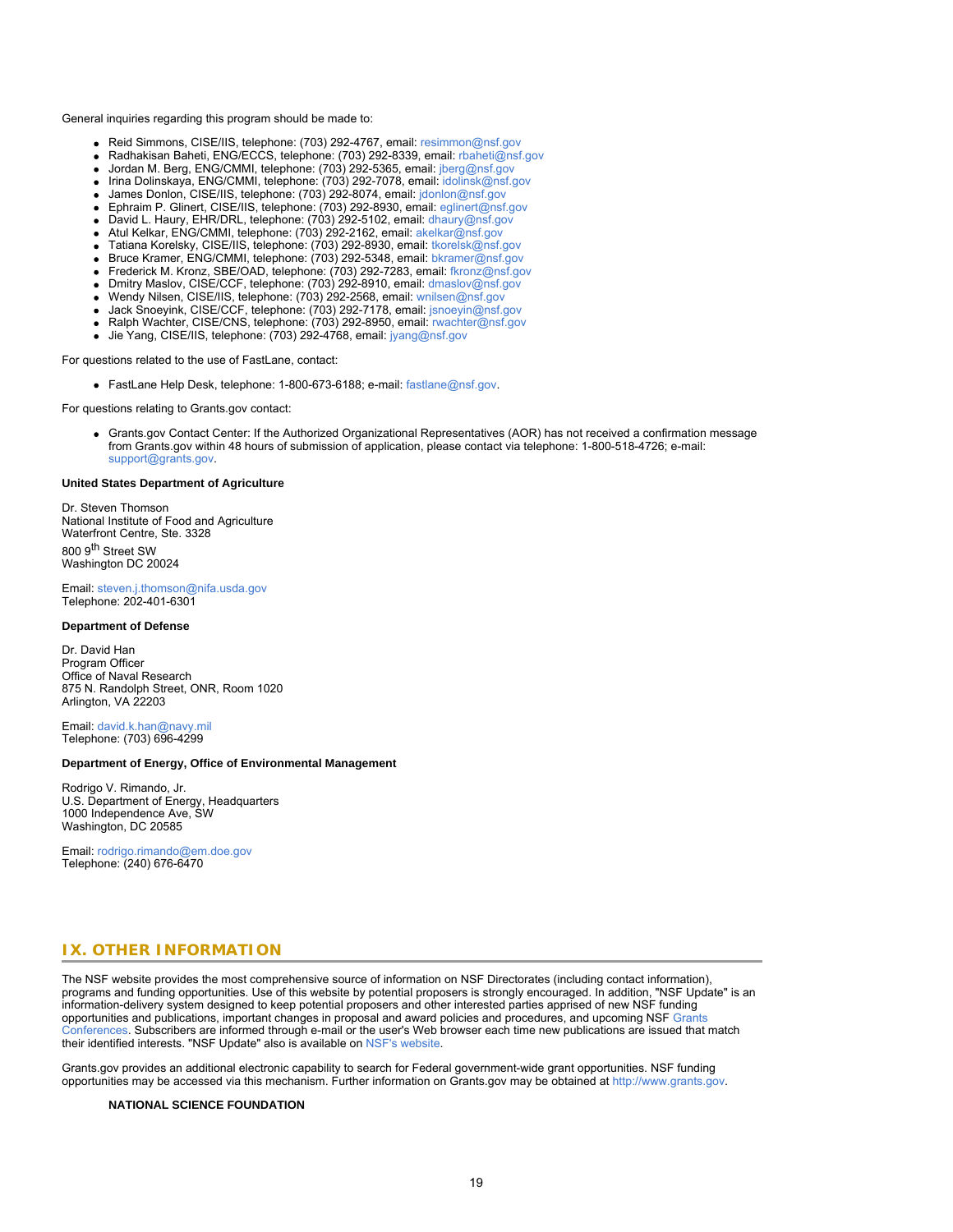General inquiries regarding this program should be made to:

- Reid Simmons, CISE/IIS, telephone: (703) 292-4767, email: [resimmon@nsf.gov](mailto:resimmon@nsf.gov)
- Radhakisan Baheti, ENG/ECCS, telephone: (703) 292-8339, email: [rbaheti@nsf.gov](mailto:rbaheti@nsf.gov)
- Jordan M. Berg, ENG/CMMI, telephone: (703) 292-5365, email: [jberg@nsf.gov](mailto:jberg@nsf.gov)
- Irina Dolinskaya, ENG/CMMI, telephone: (703) 292-7078, email: [idolinsk@nsf.gov](mailto:idolinsk@nsf.gov)  $\bullet$
- James Donlon, CISE/IIS, telephone: (703) 292-8074, email: [jdonlon@nsf.gov](mailto:jdonlon@nsf.gov)
- Ephraim P. Glinert, CISE/IIS, telephone: (703) 292-8930, email: [eglinert@nsf.gov](mailto:eglinert@nsf.gov)
- David L. Haury, EHR/DRL, telephone: (703) 292-5102, email: [dhaury@nsf.gov](mailto:dhaury@nsf.gov)
- Atul Kelkar, ENG/CMMI, telephone: (703) 292-2162, email: [akelkar@nsf.gov](mailto:akelkar@nsf.gov)
- Tatiana Korelsky, CISE/IIS, telephone: (703) 292-8930, email: [tkorelsk@nsf.gov](mailto:tkorelsk@nsf.gov)
- Bruce Kramer, ENG/CMMI, telephone: (703) 292-5348, email: [bkramer@nsf.gov](mailto:bkramer@nsf.gov) Frederick M. Kronz, SBE/OAD, telephone: (703) 292-7283, email: [fkronz@nsf.gov](mailto:fkronz@nsf.gov)
- Dmitry Maslov, CISE/CCF, telephone: (703) 292-8910, email: [dmaslov@nsf.gov](mailto:dmaslov@nsf.gov)
- Wendy Nilsen, CISE/IIS, telephone: (703) 292-2568, email: [wnilsen@nsf.gov](mailto:wnilsen@nsf.gov)
- Jack Snoeyink, CISE/CCF, telephone: (703) 292-7178, email: [jsnoeyin@nsf.gov](mailto:jsnoeyin@nsf.gov)
- Ralph Wachter, CISE/CNS, telephone: (703) 292-8950, email: [rwachter@nsf.gov](mailto:rwachter@nsf.gov)
- Jie Yang, CISE/IIS, telephone: (703) 292-4768, email: [jyang@nsf.gov](mailto:jyang@nsf.gov)

For questions related to the use of FastLane, contact:

FastLane Help Desk, telephone: 1-800-673-6188; e-mail: [fastlane@nsf.gov](mailto:fastlane@nsf.gov).

For questions relating to Grants.gov contact:

Grants.gov Contact Center: If the Authorized Organizational Representatives (AOR) has not received a confirmation message from Grants.gov within 48 hours of submission of application, please contact via telephone: 1-800-518-4726; e-mail: [support@grants.gov.](mailto:support@grants.gov)

#### **United States Department of Agriculture**

Dr. Steven Thomson National Institute of Food and Agriculture Waterfront Centre, Ste. 3328 800 9<sup>th</sup> Street SW Washington DC 20024

Email: [steven.j.thomson@nifa.usda.gov](mailto:steven.j.thomson@nifa.usda.gov) Telephone: 202-401-6301

#### **Department of Defense**

Dr. David Han Program Officer Office of Naval Research 875 N. Randolph Street, ONR, Room 1020 Arlington, VA 22203

Email: [david.k.han@navy.mil](mailto:david.k.han@navy.mil) Telephone: (703) 696-4299

### **Department of Energy, Office of Environmental Management**

Rodrigo V. Rimando, Jr. U.S. Department of Energy, Headquarters 1000 Independence Ave, SW Washington, DC 20585

<span id="page-18-0"></span>Email: [rodrigo.rimando@em.doe.gov](mailto:rodrigo.rimando@em.doe.gov) Telephone: (240) 676-6470

# **IX. OTHER INFORMATION**

The NSF website provides the most comprehensive source of information on NSF Directorates (including contact information), programs and funding opportunities. Use of this website by potential proposers is strongly encouraged. In addition, "NSF Update" is an information-delivery system designed to keep potential proposers and other interested parties apprised of new NSF funding opportunities and publications, important changes in proposal and award policies and procedures, and upcoming NSF [Grants](https://www.nsf.gov/bfa/dias/policy/outreach.jsp) [Conferences](https://www.nsf.gov/bfa/dias/policy/outreach.jsp). Subscribers are informed through e-mail or the user's Web browser each time new publications are issued that match their identified interests. "NSF Update" also is available on [NSF's website](https://www.nsf.gov/cgi-bin/goodbye?https://public.govdelivery.com/accounts/USNSF/subscriber/new?topic_id=USNSF_179).

Grants.gov provides an additional electronic capability to search for Federal government-wide grant opportunities. NSF funding opportunities may be accessed via this mechanism. Further information on Grants.gov may be obtained at [http://www.grants.gov](http://www.grants.gov/).

### **NATIONAL SCIENCE FOUNDATION**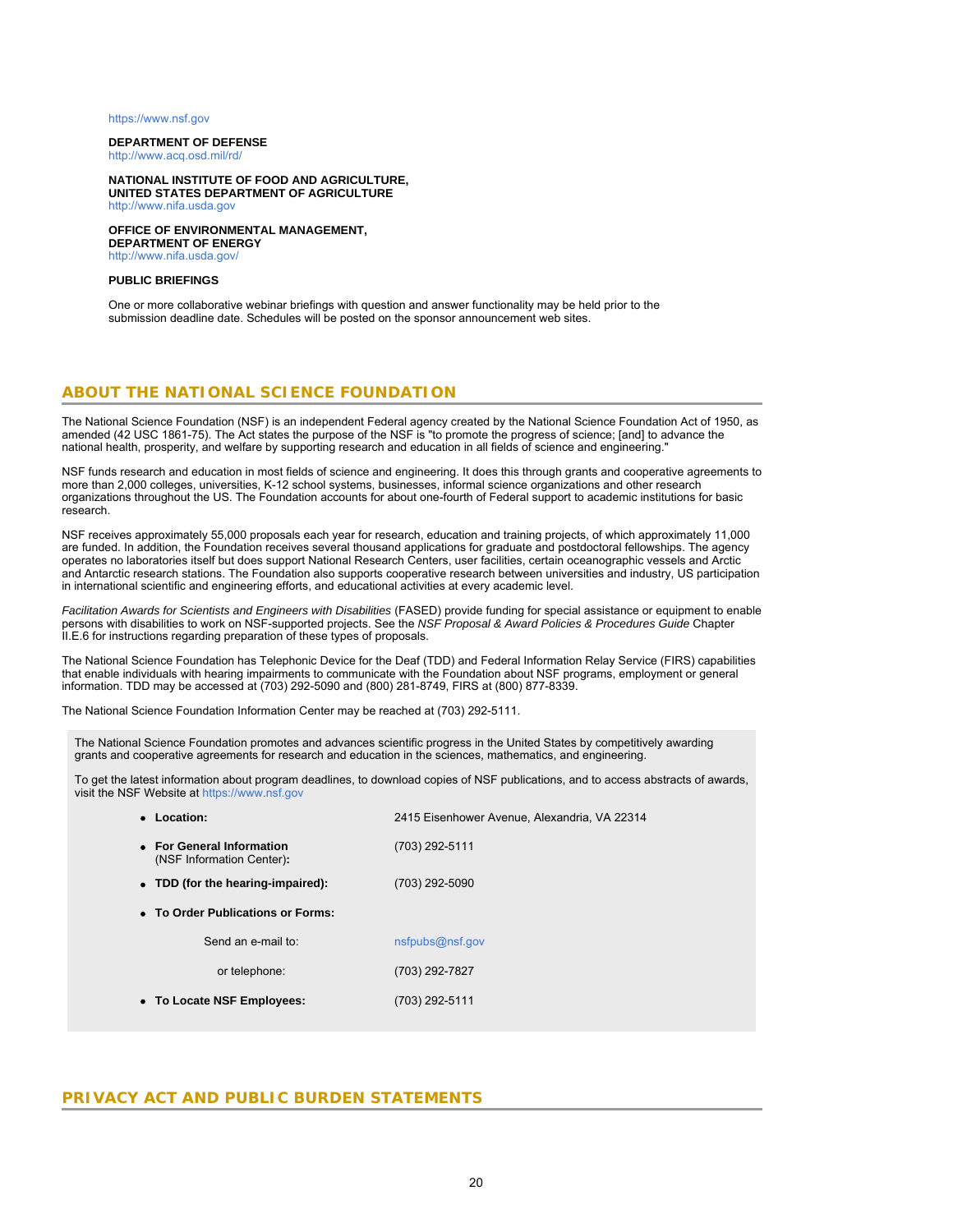### [https://www.nsf.gov](https://www.nsf.gov/)

### **DEPARTMENT OF DEFENSE**

<http://www.acq.osd.mil/rd/>

#### **NATIONAL INSTITUTE OF FOOD AND AGRICULTURE, UNITED STATES DEPARTMENT OF AGRICULTURE** [http://www.nifa.usda.gov](http://www.nifa.usda.gov/)

**OFFICE OF ENVIRONMENTAL MANAGEMENT, DEPARTMENT OF ENERGY** <http://www.nifa.usda.gov/>

#### **PUBLIC BRIEFINGS**

One or more collaborative webinar briefings with question and answer functionality may be held prior to the submission deadline date. Schedules will be posted on the sponsor announcement web sites.

### **ABOUT THE NATIONAL SCIENCE FOUNDATION**

The National Science Foundation (NSF) is an independent Federal agency created by the National Science Foundation Act of 1950, as amended (42 USC 1861-75). The Act states the purpose of the NSF is "to promote the progress of science; [and] to advance the national health, prosperity, and welfare by supporting research and education in all fields of science and engineering."

NSF funds research and education in most fields of science and engineering. It does this through grants and cooperative agreements to more than 2,000 colleges, universities, K-12 school systems, businesses, informal science organizations and other research organizations throughout the US. The Foundation accounts for about one-fourth of Federal support to academic institutions for basic research.

NSF receives approximately 55,000 proposals each year for research, education and training projects, of which approximately 11,000 are funded. In addition, the Foundation receives several thousand applications for graduate and postdoctoral fellowships. The agency operates no laboratories itself but does support National Research Centers, user facilities, certain oceanographic vessels and Arctic and Antarctic research stations. The Foundation also supports cooperative research between universities and industry, US participation in international scientific and engineering efforts, and educational activities at every academic level.

*Facilitation Awards for Scientists and Engineers with Disabilities* (FASED) provide funding for special assistance or equipment to enable persons with disabilities to work on NSF-supported projects. See the *NSF Proposal & Award Policies & Procedures Guide* Chapter II.E.6 for instructions regarding preparation of these types of proposals.

The National Science Foundation has Telephonic Device for the Deaf (TDD) and Federal Information Relay Service (FIRS) capabilities that enable individuals with hearing impairments to communicate with the Foundation about NSF programs, employment or general information. TDD may be accessed at (703) 292-5090 and (800) 281-8749, FIRS at (800) 877-8339.

The National Science Foundation Information Center may be reached at (703) 292-5111.

The National Science Foundation promotes and advances scientific progress in the United States by competitively awarding grants and cooperative agreements for research and education in the sciences, mathematics, and engineering.

To get the latest information about program deadlines, to download copies of NSF publications, and to access abstracts of awards, visit the NSF Website at [https://www.nsf.gov](https://www.nsf.gov/)

| • Location:                                            | 2415 Eisenhower Avenue, Alexandria, VA 22314 |  |  |  |  |  |  |
|--------------------------------------------------------|----------------------------------------------|--|--|--|--|--|--|
| • For General Information<br>(NSF Information Center): | (703) 292-5111                               |  |  |  |  |  |  |
| • TDD (for the hearing-impaired):                      | (703) 292-5090                               |  |  |  |  |  |  |
| • To Order Publications or Forms:                      |                                              |  |  |  |  |  |  |
| Send an e-mail to:                                     | nsfpubs@nsf.gov                              |  |  |  |  |  |  |
| or telephone:                                          | (703) 292-7827                               |  |  |  |  |  |  |
| • To Locate NSF Employees:                             | (703) 292-5111                               |  |  |  |  |  |  |
|                                                        |                                              |  |  |  |  |  |  |

### **PRIVACY ACT AND PUBLIC BURDEN STATEMENTS**